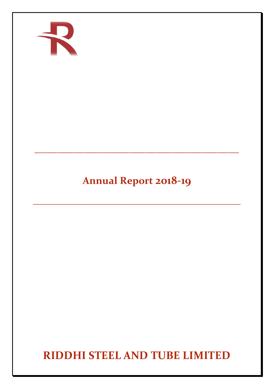

# **Annual Report 2018-19**

**\_\_\_\_\_\_\_\_\_\_\_\_\_\_\_\_\_\_\_\_\_\_\_\_\_\_\_\_\_\_\_\_\_\_\_\_\_\_\_\_\_**

**\_\_\_\_\_\_\_\_\_\_\_\_\_\_\_\_\_\_\_\_\_\_\_\_\_\_\_\_\_\_\_\_\_\_\_\_\_**

**RIDDHI STEEL AND TUBE LIMITED**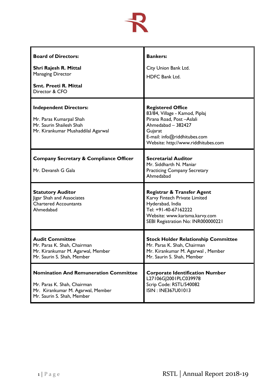

| <b>Board of Directors:</b><br>Shri Rajesh R. Mittal                                                                                            | <b>Bankers:</b><br>City Union Bank Ltd.                                                                                                                                                        |
|------------------------------------------------------------------------------------------------------------------------------------------------|------------------------------------------------------------------------------------------------------------------------------------------------------------------------------------------------|
| <b>Managing Director</b><br><b>Smt. Preeti R. Mittal</b><br>Director & CFO                                                                     | <b>HDFC Bank Ltd.</b>                                                                                                                                                                          |
| <b>Independent Directors:</b><br>Mr. Paras Kumarpal Shah<br>Mr. Saurin Shailesh Shah<br>Mr. Kirankumar Mushaddilal Agarwal                     | <b>Registered Office</b><br>83/84, Village - Kamod, Piplaj<br>Pirana Road, Post-Aslali<br>Ahmedabad - 382427<br>Gujarat<br>E-mail: info@riddhitubes.com<br>Website: http://www.riddhitubes.com |
| <b>Company Secretary &amp; Compliance Officer</b><br>Mr. Devansh G Gala                                                                        | <b>Secretarial Auditor</b><br>Mr. Siddharth N. Maniar<br><b>Practicing Company Secretary</b><br>Ahmedabad                                                                                      |
| <b>Statutory Auditor</b><br>Jigar Shah and Associates<br><b>Chartered Accountants</b><br>Ahmedabad                                             | <b>Registrar &amp; Transfer Agent</b><br>Karvy Fintech Private Limited<br>Hyderabad, India<br>Tel: +91-40-67162222<br>Website: www.karisma.karvy.com<br>SEBI Registration No: INR000000221     |
| <b>Audit Committee</b><br>Mr. Paras K. Shah, Chairman<br>Mr. Kirankumar M. Agarwal, Member<br>Mr. Saurin S. Shah, Member                       | <b>Stock Holder Relationship Committee</b><br>Mr. Paras K. Shah, Chairman<br>Mr. Kirankumar M. Agarwal, Member<br>Mr. Saurin S. Shah, Member                                                   |
| <b>Nomination And Remuneration Committee</b><br>Mr. Paras K. Shah, Chairman<br>Mr. Kirankumar M. Agarwal, Member<br>Mr. Saurin S. Shah, Member | <b>Corporate Identification Number</b><br>L27106GJ2001PLC039978<br>Scrip Code: RSTL/540082<br>ISIN: INE367U01013                                                                               |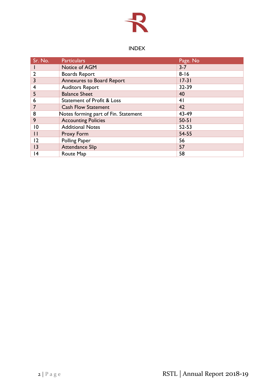

# INDEX

| Sr. No.                 | <b>Particulars</b>                   | Page. No       |
|-------------------------|--------------------------------------|----------------|
|                         | Notice of AGM                        | $3 - 7$        |
| $\overline{2}$          | <b>Boards Report</b>                 | $8 - 16$       |
| 3                       | Annexures to Board Report            | $17 - 31$      |
| $\overline{\mathbf{4}}$ | <b>Auditors Report</b>               | 32-39          |
| 5                       | <b>Balance Sheet</b>                 | 40             |
| 6                       | Statement of Profit & Loss           | 4 <sub>1</sub> |
|                         | <b>Cash Flow Statement</b>           | 42             |
| 8                       | Notes forming part of Fin. Statement | 43-49          |
| 9                       | <b>Accounting Policies</b>           | $50 - 51$      |
| 10                      | <b>Additional Notes</b>              | 52-53          |
| $\mathbf{1}$            | Proxy Form                           | 54-55          |
| 12                      | Polling Paper                        | 56             |
| 3                       | <b>Attendance Slip</b>               | 57             |
| 14                      | Route Map                            | 58             |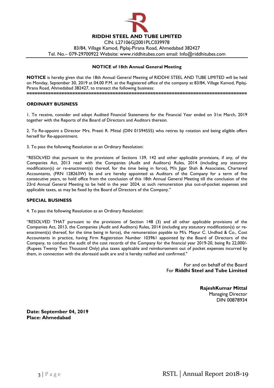

Tel. No.– 079-29700922 Website: www.riddhitubes.com email: Info@riddhitubes.com

## **NOTICE of 18th Annual General Meeting**

**NOTICE** is hereby given that the 18th Annual General Meeting of RIDDHI STEEL AND TUBE LIMITED will be held on Monday, September 30, 2019 at 04.00 P.M. at the Registered office of the company at 83/84, Village Kamod, Piplaj-Pirana Road, Ahmedabad 382427, to transact the following business: **==================================================================================**

#### **ORDINARY BUSINESS**

1. To receive, consider and adopt Audited Financial Statements for the Financial Year ended on 31st March, 2019 together with the Reports of the Board of Directors and Auditors thereon.

2. To Re-appoint a Director Mrs. Preeti R. Mittal (DIN 01594555) who retires by rotation and being eligible offers herself for Re-appointment.

3. To pass the following Resolution as an Ordinary Resolution:

"RESOLVED that pursuant to the provisions of Sections 139, 142 and other applicable provisions, if any, of the Companies Act, 2013 read with the Companies (Audit and Auditors) Rules, 2014 (including any statutory modification(s) or re-enactment(s) thereof, for the time being in force), M/s Jigar Shah & Associates, Chartered Accountants, (FRN 128263W) be and are hereby appointed as Auditors of the Company for a term of five consecutive years, to hold office from the conclusion of this 18th Annual General Meeting till the conclusion of the 23rd Annual General Meeting to be held in the year 2024, at such remuneration plus out-of-pocket expenses and applicable taxes, as may be fixed by the Board of Directors of the Company."

#### **SPECIAL BUSINESS**

4. To pass the following Resolution as an Ordinary Resolution:

"RESOLVED THAT pursuant to the provisions of Section 148 (3) and all other applicable provisions of the Companies Act, 2013, the Companies (Audit and Auditors) Rules, 2014 (including any statutory modification(s) or reenactment(s) thereof, for the time being in force), the remuneration payable to M/s. Mayur C. Undhad & Co., Cost Accountants in practice, having Firm Registration Number 103961 appointed by the Board of Directors of the Company, to conduct the audit of the cost records of the Company for the financial year 2019-20, being Rs 22,000/- (Rupees Twenty Two Thousand Only) plus taxes applicable and reimbursement out of pocket expenses incurred by them, in connection with the aforesaid audit are and is hereby ratified and confirmed."

> For and on behalf of the Board For **Riddhi Steel and Tube Limited**

> > **RajeshKumar Mittal** Managing Director DIN 00878934

**Date: September 04, 2019 Place: Ahmedabad**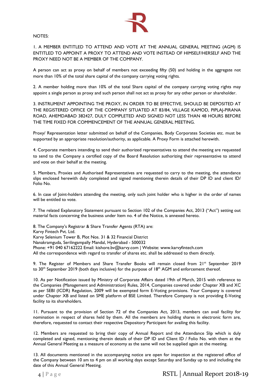

#### NOTES:

1. A MEMBER ENTITLED TO ATTEND AND VOTE AT THE ANNUAL GENERAL MEETING (AGM) IS ENTITLED TO APPOINT A PROXY TO ATTEND AND VOTE INSTEAD OF HIMSELF/HERSELF AND THE PROXY NEED NOT BE A MEMBER OF THE COMPANY.

A person can act as proxy on behalf of members not exceeding fifty (50) and holding in the aggregate not more than 10% of the total share capital of the company carrying voting rights.

2. A member holding more than 10% of the total Share capital of the company carrying voting rights may appoint a single person as proxy and such person shall not act as proxy for any other person or shareholder.

3. INSTRUMENT APPOINTING THE PROXY, IN ORDER TO BE EFFECTIVE, SHOULD BE DEPOSITED AT THE REGISTERED OFFICE OF THE COMPANY SITUATED AT 83/84, VILLAGE KAMOD, PIPLAJ-PIRANA ROAD, AHEMDABAD 382427, DULY COMPLETED AND SIGNED NOT LESS THAN 48 HOURS BEFORE THE TIME FIXED FOR COMMENCEMENT OF THE ANNUAL GENERAL MEETING.

Proxy/ Representation letter submitted on behalf of the Companies, Body Corporates Societies etc. must be supported by an appropriate resolution/authority, as applicable. A Proxy Form is attached herewith.

4. Corporate members intending to send their authorized representatives to attend the meeting are requested to send to the Company a certified copy of the Board Resolution authorizing their representative to attend and vote on their behalf at the meeting.

5. Members, Proxies and Authorised Representatives are requested to carry to the meeting, the attendance slips enclosed herewith duly completed and signed mentioning therein details of their DP ID and client ID/ Folio No.

6. In case of Joint-holders attending the meeting, only such joint holder who is higher in the order of names will be entitled to vote.

7. The related Explanatory Statement pursuant to Section 102 of the Companies Act, 2013 ("Act") setting out material facts concerning the business under Item no. 4 of the Notice, is annexed hereto.

8. The Company's Registrar & Share Transfer Agents (RTA) are: Karvy Fintech Pvt. Ltd. Karvy Selenium Tower B, Plot Nos. 31 & 32 Financial District Nanakramguda, Serilingampally Mandal, Hyderabad - 500032 Phone: +91 040 67162222 Email: kishore.bv@karvy.com | Website: www.karvyfintech.com All the correspondence with regard to transfer of shares etc. shall be addressed to them directly.

9. The Register of Members and Share Transfer Books will remain closed from 21<sup>st</sup> September 2019 to 30<sup>th</sup> September 2019 (both days inclusive) for the purpose of  $18<sup>th</sup>$  AGM and enforcement thereof.

10. As per Notification issued by Ministry of Corporate Affairs dated 19th of March, 2015 with reference to the Companies (Management and Administration) Rules, 2014, Companies covered under Chapter XB and XC as per SEBI (ICDR) Regulation, 2009 will be exempted form E-Voting provisions. Your Company is covered under Chapter XB and listed on SME platform of BSE Limited. Therefore Company is not providing E-Voting facility to its shareholders.

11. Pursuant to the provision of Section 72 of the Companies Act, 2013, members can avail facility for nomination in respect of shares held by them. All the members are holding shares in electronic form are, therefore, requested to contact their respective Depository Participant for availing this facility.

12. Members are requested to bring their copy of Annual Report and the Attendance Slip which is duly completed and signed, mentioning therein details of their DP ID and Client ID / Folio No. with them at the Annual General Meeting as a measure of economy as the same will not be supplied again at the meeting.

13. All documents mentioned in the accompanying notice are open for inspection at the registered office of the Company between 10 am to 4 pm on all working days except Saturday and Sunday up to and including the date of this Annual General Meeting.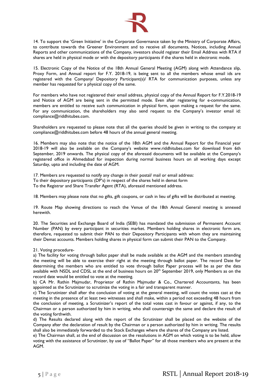

14. To support the 'Green Initiative' in the Corporate Governance taken by the Ministry of Corporate Affairs, to contribute towards the Greener Environment and to receive all documents, Notices, including Annual Reports and other communications of the Company, investors should register their Email Address with RTA if shares are held in physical mode or with the depository participants if the shares held in electronic mode.

15. Electronic Copy of the Notice of the 18th Annual General Meeting (AGM) along with Attendance slip, Proxy Form, and Annual report for F.Y. 2018-19, is being sent to all the members whose email ids are registered with the Company/ Depository Participant(s)/ RTA for communication purposes, unless any member has requested for a physical copy of the same.

For members who have not registered their email address, physical copy of the Annual Report for F.Y.2018-19 and Notice of AGM are being sent in the permitted mode. Even after registering for e-communication, members are entitled to receive such communication in physical form, upon making a request for the same. For any communication, the shareholders may also send request to the Company's investor email id: compliance@riddhitubes.com.

Shareholders are requested to please note that all the queries should be given in writing to the company at compliance@riddhitubes.com before 48 hours of the annual general meeting.

16. Members may also note that the notice of the 18th AGM and the Annual Report for the Financial year 2018-19 will also be available on the Company's website www.riddhitubes.com for download from 6th September, 2019 onwards. The physical copy of the aforesaid documents will be available at the Company's registered office in Ahmedabad for inspection during normal business hours on all working days except Saturday, upto and including the date of AGM.

17. Members are requested to notify any change in their postal/ mail or email address:

To their depository participants (DP's) in respect of the shares held in demat form

To the Registrar and Share Transfer Agent (RTA), aforesaid mentioned address.

18. Members may please note that no gifts, gift coupons, or cash in lieu of gifts will be distributed at meeting.

19. Route Map showing directions to reach the Venue of the 18th Annual General meeting is annexed herewith.

20. The Securities and Exchange Board of India (SEBI) has mandated the submission of Permanent Account Number (PAN) by every participant in securities market. Members holding shares in electronic form are, therefore, requested to submit their PAN to their Depository Participants with whom they are maintaining their Demat accounts. Members holding shares in physical form can submit their PAN to the Company.

#### 21. Voting procedure-

a) The facility for voting through ballot paper shall be made available at the AGM and the members attending the meeting will be able to exercise their right at the meeting through ballot paper. The record Date for determining the members who are entitled to vote through ballot Paper process will be as per the data available with NSDL and CDSL at the end of business hours on 20<sup>th</sup> September 2019, only Members as on the record date would be entitled to vote at the meeting.

b) CA Mr. Rathin Majmudar, Proprietor of Rathin Majmudar & Co., Chartered Accountants, has been appointed as the Scrutinizer to scrutinize the voting in a fair and transparent manner.

c) The Scrutinizer shall after the conclusion of voting at the general meeting, will count the votes cast at the meeting in the presence of at least two witnesses and shall make, within a period not exceeding 48 hours from the conclusion of meeting, a Scrutinizer's report of the total votes cast in favour or against, if any, to the Chairman or a person authorized by him in writing, who shall countersign the same and declare the result of the voting forthwith.

d) The Results declared along with the report of the Scrutinizer shall be placed on the website of the Company after the declaration of result by the Chairman or a person authorized by him in writing. The results shall also be immediately forwarded to the Stock Exchanges where the shares of the Company are listed.

e) The Chairman shall, at the end of discussion on the resolutions in AGM on which voting is to be held, allow voting with the assistance of Scrutinizer, by use of "Ballot Paper" for all those members who are present at the AGM.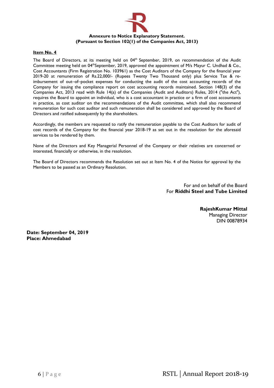

## **Item No. 4**

The Board of Directors, at its meeting held on  $04<sup>th</sup>$  September, 2019, on recommendation of the Audit Committee meeting held on 04<sup>th</sup>September, 2019, approved the appointment of M/s Mayur C. Undhad & Co., Cost Accountants (Firm Registration No. 103961) as the Cost Auditors of the Company for the financial year 2019-20 at remuneration of Rs.22,000/- (Rupees Twenty Two Thousand only) plus Service Tax & reimbursement of out–of–pocket expenses for conducting the audit of the cost accounting records of the Company for issuing the compliance report on cost accounting records maintained. Section 148(3) of the Companies Act, 2013 read with Rule 14(a) of the Companies (Audit and Auditors) Rules, 2014 ("the Act"), requires the Board to appoint an individual, who is a cost accountant in practice or a firm of cost accountants in practice, as cost auditor on the recommendations of the Audit committee, which shall also recommend remuneration for such cost auditor and such remuneration shall be considered and approved by the Board of Directors and ratified subsequently by the shareholders.

Accordingly, the members are requested to ratify the remuneration payable to the Cost Auditors for audit of cost records of the Company for the financial year 2018-19 as set out in the resolution for the aforesaid services to be rendered by them.

None of the Directors and Key Managerial Personnel of the Company or their relatives are concerned or interested, financially or otherwise, in the resolution.

The Board of Directors recommends the Resolution set out at Item No. 4 of the Notice for approval by the Members to be passed as an Ordinary Resolution.

> For and on behalf of the Board For **Riddhi Steel and Tube Limited**

> > **RajeshKumar Mittal** Managing Director DIN 00878934

**Date: September 04, 2019 Place: Ahmedabad**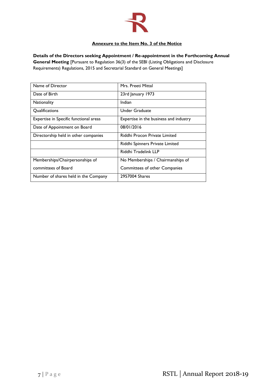

# **Annexure to the Item No. 3 of the Notice**

**Details of the Directors seeking Appointment / Re-appointment in the Forthcoming Annual General Meeting** [Pursuant to Regulation 36(3) of the SEBI (Listing Obligations and Disclosure Requirements) Regulations, 2015 and Secretarial Standard on General Meetings]

| Name of Director                       | Mrs. Preeti Mittal                     |
|----------------------------------------|----------------------------------------|
| Date of Birth                          | 23rd January 1973                      |
| <b>Nationality</b>                     | Indian                                 |
| Qualifications                         | Under Graduate                         |
| Expertise in Specific functional areas | Expertise in the business and industry |
| Date of Appointment on Board           | 08/01/2016                             |
| Directorship held in other companies   | Riddhi Procon Private Limited          |
|                                        | Riddhi Spinners Private Limited        |
|                                        | Riddhi Tradelink LLP                   |
| Memberships/Chairpersonships of        | No Memberships / Chairmanships of      |
| committees of Board                    | <b>Committees of other Companies</b>   |
| Number of shares held in the Company   | 2957004 Shares                         |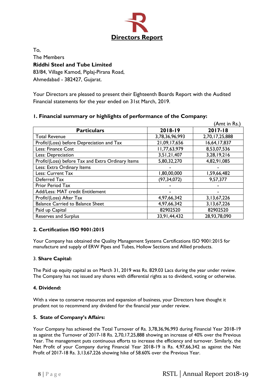

To, The Members **Riddhi Steel and Tube Limited** 83/84, Village Kamod, Piplaj-Pirana Road, Ahmedabad - 382427, Gujarat.

Your Directors are pleased to present their Eighteenth Boards Report with the Audited Financial statements for the year ended on 31st March, 2019.

|                                                   |                | (Amt in Rs.)   |
|---------------------------------------------------|----------------|----------------|
| <b>Particulars</b>                                | 2018-19        | 2017-18        |
| <b>Total Revenue</b>                              | 3,78,36,96,993 | 2,70,17,25,888 |
| Profit/(Loss) before Depreciation and Tax         | 21,09,17,656   | 16,64,17,837   |
| Less: Finance Cost                                | 11,77,63,979   | 8,53,07,536    |
| Less: Depreciation                                | 3,51,21,407    | 3,28,19,216    |
| Profit/(Loss) before Tax and Extra Ordinary Items | 5,80,32,270    | 4,82,91,085    |
| Less: Extra Ordinary Items                        |                |                |
| Less: Current Tax                                 | 1,80,00,000    | 1,59,66,482    |
| Deferred Tax                                      | (97, 34, 072)  | 9,57,377       |
| Prior Period Tax                                  |                |                |
| Add/Less: MAT credit Entitlement                  |                |                |
| Profit/(Loss) After Tax                           | 4,97,66,342    | 3, 13, 67, 226 |
| <b>Balance Carried to Balance Sheet</b>           | 4,97,66,342    | 3, 13, 67, 226 |
| Paid up Capital                                   | 82902520       | 82902520       |
| <b>Reserves and Surplus</b>                       | 33,91,44,432   | 28,93,78,090   |

# **1. Financial summary or highlights of performance of the Company:**

# **2. Certification ISO 9001:2015**

Your Company has obtained the Quality Management Systems Certifications ISO 9001:2015 for manufacture and supply of ERW Pipes and Tubes, Hollow Sections and Allied products.

# 3. **Share Capital:**

The Paid up equity capital as on March 31, 2019 was Rs. 829.03 Lacs during the year under review. The Company has not issued any shares with differential rights as to dividend, voting or otherwise.

# **4. Dividend:**

With a view to conserve resources and expansion of business, your Directors have thought it prudent not to recommend any dividend for the financial year under review.

# **5. State of Company's Affairs:**

Your Company has achieved the Total Turnover of Rs. 3,78,36,96,993 during Financial Year 2018-19 as against the Turnover of 2017-18 Rs. 2,70,17,25,888 showing an increase of 40% over the Previous Year. The management puts continuous efforts to increase the efficiency and turnover. Similarly, the Net Profit of your Company during Financial Year 2018-19 is Rs. 4,97,66,342 as against the Net Profit of 2017-18 Rs. 3,13,67,226 showing hike of 58.60% over the Previous Year.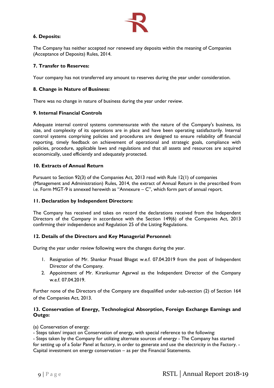

# **6. Deposits:**

The Company has neither accepted nor renewed any deposits within the meaning of Companies (Acceptance of Deposits) Rules, 2014.

# **7. Transfer to Reserves:**

Your company has not transferred any amount to reserves during the year under consideration.

## **8. Change in Nature of Business:**

There was no change in nature of business during the year under review.

## **9. Internal Financial Controls**

Adequate internal control systems commensurate with the nature of the Company's business, its size, and complexity of its operations are in place and have been operating satisfactorily. Internal control systems comprising policies and procedures are designed to ensure reliability off financial reporting, timely feedback on achievement of operational and strategic goals, compliance with policies, procedure, applicable laws and regulations and that all assets and resources are acquired economically, used efficiently and adequately protected.

## **10. Extracts of Annual Return**

Pursuant to Section 92(3) of the Companies Act, 2013 read with Rule 12(1) of companies (Management and Administration) Rules, 2014, the extract of Annual Return in the prescribed from i.e. Form MGT-9 is annexed herewith as "Annexure – C", which form part of annual report.

## **11. Declaration by Independent Directors:**

The Company has received and takes on record the declarations received from the Independent Directors of the Company in accordance with the Section 149(6) of the Companies Act, 2013 confirming their independence and Regulation 25 of the Listing Regulations.

# **12. Details of the Directors and Key Managerial Personnel:**

During the year under review following were the changes during the year.

- 1. Resignation of Mr. Shankar Prasad Bhagat w.e.f. 07.04.2019 from the post of Independent Director of the Company.
- 2. Appointment of Mr. Kirankumar Agarwal as the Independent Director of the Company w.e.f. 07.04.2019.

Further none of the Directors of the Company are disqualified under sub-section (2) of Section 164 of the Companies Act, 2013.

## **13. Conservation of Energy, Technological Absorption, Foreign Exchange Earnings and Outgo:**

(a) Conservation of energy:

- Steps taken/ impact on Conservation of energy, with special reference to the following:

- Steps taken by the Company for utilizing alternate sources of energy - The Company has started for setting up of a Solar Panel at factory, in order to generate and use the electricity in the Factory. - Capital investment on energy conservation – as per the Financial Statements.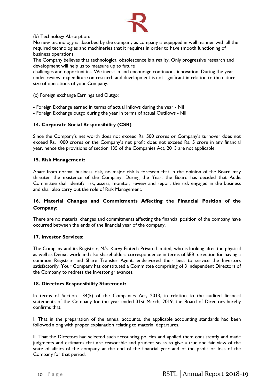

(b) Technology Absorption:

No new technology is absorbed by the company as company is equipped in well manner with all the required technologies and machineries that it requires in order to have smooth functioning of business operations.

The Company believes that technological obsolescence is a reality. Only progressive research and development will help us to measure up to future

challenges and opportunities. We invest in and encourage continuous innovation. During the year under review, expenditure on research and development is not significant in relation to the nature size of operations of your Company.

(c) Foreign exchange Earnings and Outgo:

- Foreign Exchange earned in terms of actual Inflows during the year - Nil

- Foreign Exchange outgo during the year in terms of actual Outflows - Nil

# **14. Corporate Social Responsibility (CSR)**

Since the Company's net worth does not exceed Rs. 500 crores or Company's turnover does not exceed Rs. 1000 crores or the Company's net profit does not exceed Rs. 5 crore in any financial year, hence the provisions of section 135 of the Companies Act, 2013 are not applicable.

## **15. Risk Management:**

Apart from normal business risk, no major risk is foreseen that in the opinion of the Board may threaten the existence of the Company. During the Year, the Board has decided that Audit Committee shall identify risk, assess, monitor, review and report the risk engaged in the business and shall also carry out the role of Risk Management.

# **16. Material Changes and Commitments Affecting the Financial Position of the Company:**

There are no material changes and commitments affecting the financial position of the company have occurred between the ends of the financial year of the company.

## **17. Investor Services:**

The Company and its Registrar, M/s. Karvy Fintech Private Limited, who is looking after the physical as well as Demat work and also shareholders correspondence in terms of SEBI direction for having a common Registrar and Share Transfer Agent, endeavored their best to service the Investors satisfactorily. Your Company has constituted a Committee comprising of 3 Independent Directors of the Company to redress the Investor grievances.

## **18. Directors Responsibility Statement:**

In terms of Section 134(5) of the Companies Act, 2013, in relation to the audited financial statements of the Company for the year ended 31st March, 2019, the Board of Directors hereby confirms that:

I. That in the preparation of the annual accounts, the applicable accounting standards had been followed along with proper explanation relating to material departures.

II. That the Directors had selected such accounting policies and applied them consistently and made judgments and estimates that are reasonable and prudent so as to give a true and fair view of the state of affairs of the company at the end of the financial year and of the profit or loss of the Company for that period.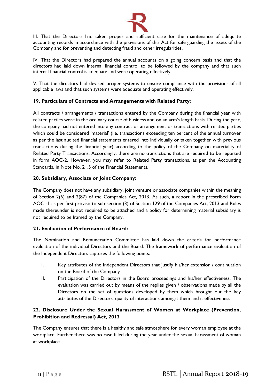

III. That the Directors had taken proper and sufficient care for the maintenance of adequate accounting records in accordance with the provisions of this Act for safe guarding the assets of the Company and for preventing and detecting fraud and other irregularities.

IV. That the Directors had prepared the annual accounts on a going concern basis and that the directors had laid down internal financial control to be followed by the company and that such internal financial control is adequate and were operating effectively.

V. That the directors had devised proper systems to ensure compliance with the provisions of all applicable laws and that such systems were adequate and operating effectively.

# **19. Particulars of Contracts and Arrangements with Related Party:**

All contracts / arrangements / transactions entered by the Company during the financial year with related parties were in the ordinary course of business and on an arm's length basis. During the year, the company had not entered into any contract or arrangement or transactions with related parties which could be considered 'material' (i.e. transactions exceeding ten percent of the annual turnover as per the last audited financial statements entered into individually or taken together with previous transactions during the financial year) according to the policy of the Company on materiality of Related Party Transactions. Accordingly, there are no transactions that are required to be reported in form AOC-2. However, you may refer to Related Party transactions, as per the Accounting Standards, in Note No. 21.5 of the Financial Statements.

# **20. Subsidiary, Associate or Joint Company:**

The Company does not have any subsidiary, joint venture or associate companies within the meaning of Section 2(6) and 2(87) of the Companies Act, 2013. As such, a report in the prescribed Form AOC -1 as per first proviso to sub-section (3) of Section 129 of the Companies Act, 2013 and Rules made thereunder is not required to be attached and a policy for determining material subsidiary is not required to be framed by the Company.

# **21. Evaluation of Performance of Board:**

The Nomination and Remuneration Committee has laid down the criteria for performance evaluation of the individual Directors and the Board. The framework of performance evaluation of the Independent Directors captures the following points:

- I. Key attributes of the Independent Directors that justify his/her extension / continuation on the Board of the Company.
- II. Participation of the Directors in the Board proceedings and his/her effectiveness. The evaluation was carried out by means of the replies given / observations made by all the Directors on the set of questions developed by them which brought out the key attributes of the Directors, quality of interactions amongst them and it effectiveness

# **22. Disclosure Under the Sexual Harassment of Women at Workplace (Prevention, Prohibition and Redressal) Act, 2013**

The Company ensures that there is a healthy and safe atmosphere for every woman employee at the workplace. Further there was no case filled during the year under the sexual harassment of woman at workplace.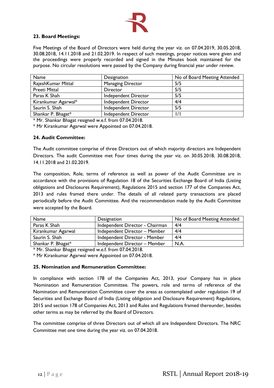

# **23. Board Meetings:**

Five Meetings of the Board of Directors were held during the year viz. on 07.04.2019, 30.05.2018, 30.08.2018, 14.11.2018 and 21.02.2019. In respect of such meetings, proper notices were given and the proceedings were properly recorded and signed in the Minutes book maintained for the purpose. No circular resolutions were passed by the Company during financial year under review.

| Name                | Designation              | No of Board Meeting Attended |
|---------------------|--------------------------|------------------------------|
| RajeshKumar Mittal  | <b>Managing Director</b> | 5/5                          |
| Preeti Mittal       | Director                 | 5/5                          |
| Paras K Shah        | Independent Director     | 5/5                          |
| Kirankumar Agarwal* | Independent Director     | 4/4                          |
| Saurin S. Shah      | Independent Director     | 5/5                          |
| Shankar P. Bhagat*  | Independent Director     | 1/1                          |

\* Mr. Shankar Bhagat resigned w.e.f. from 07.04.2018.

\* Mr Kirankumar Agarwal were Appointed on 07.04.2018.

## **24. Audit Committee:**

The Audit committee comprise of three Directors out of which majority directors are Independent Directors. The audit Committee met Four times during the year viz. on 30.05.2018, 30.08.2018, 14.11.2018 and 21.02.2019.

The composition, Role, terms of reference as well as power of the Audit Committee are in accordance with the provisions of Regulation 18 of the Securities Exchange Board of India (Listing obligations and Disclosures Requirement), Regulations 2015 and section 177 of the Companies Act, 2013 and rules framed there under. The details of all related party transactions are placed periodically before the Audit Committee. And the recommendation made by the Audit Committee were accepted by the Board.

| Name                  | Designation                     | No of Board Meeting Attended |
|-----------------------|---------------------------------|------------------------------|
| Paras K Shah          | Independent Director - Chairman | 4/4                          |
| Kirankumar Agarwal    | Independent Director - Member   | 4/4                          |
| Saurin S. Shah        | Independent Director - Member   | 4/4                          |
| Shankar P. Bhagat $*$ | Independent Director - Member   | N.A                          |

\* Mr. Shankar Bhagat resigned w.e.f. from 07.04.2018.

\* Mr Kirankumar Agarwal were Appointed on 07.04.2018.

## **25. Nomination and Remuneration Committee:**

In compliance with section 178 of the Companies Act, 2013, your Company has in place 'Nomination and Remuneration Committee. The powers, role and terms of reference of the Nomination and Remuneration Committee cover the areas as contemplated under regulation 19 of Securities and Exchange Board of India (Listing obligation and Disclosure Requirement) Regulations, 2015 and section 178 of Companies Act, 2013 and Rules and Regulations framed thereunder, besides other terms as may be referred by the Board of Directors.

The committee comprise of three Directors out of which all are Independent Directors. The NRC Committee met one time during the year viz. on 07.04.2018.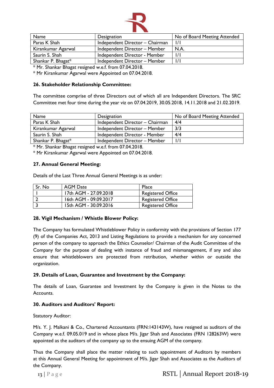

| Name               | Designation                     | No of Board Meeting Attended |
|--------------------|---------------------------------|------------------------------|
| Paras K Shah       | Independent Director - Chairman |                              |
| Kirankumar Agarwal | Independent Director - Member   | N.A.                         |
| Saurin S. Shah     | Independent Director - Member   |                              |
| Shankar P. Bhagat* | Independent Director - Member   |                              |

\* Mr. Shankar Bhagat resigned w.e.f. from 07.04.2018.

\* Mr Kirankumar Agarwal were Appointed on 07.04.2018.

## **26. Stakeholder Relationship Committee:**

The committee comprise of three Directors out of which all are Independent Directors. The SRC Committee met four time during the year viz on 07.04.2019, 30.05.2018, 14.11.2018 and 21.02.2019.

| Name                  | Designation                     | No of Board Meeting Attended |
|-----------------------|---------------------------------|------------------------------|
| Paras K Shah          | Independent Director - Chairman | 4/4                          |
| Kirankumar Agarwal    | Independent Director - Member   | 3/3                          |
| Saurin S. Shah        | Independent Director - Member   | 4/4                          |
| Shankar P. Bhagat $*$ | Independent Director - Member   |                              |

\* Mr. Shankar Bhagat resigned w.e.f. from 07.04.2018.

\* Mr Kirankumar Agarwal were Appointed on 07.04.2018.

## **27. Annual General Meeting:**

Details of the Last Three Annual General Meetings is as under:

| Sr. No | AGM Date              | Place                    |
|--------|-----------------------|--------------------------|
|        | 17th AGM - 27.09.2018 | <b>Registered Office</b> |
|        | 16th AGM - 09.09.2017 | <b>Registered Office</b> |
|        | 15th AGM - 30.09.2016 | <b>Registered Office</b> |

## **28. Vigil Mechanism / Whistle Blower Policy:**

The Company has formulated Whistleblower Policy in conformity with the provisions of Section 177 (9) of the Companies Act, 2013 and Listing Regulations to provide a mechanism for any concerned person of the company to approach the Ethics Counselor/ Chairman of the Audit Committee of the Company for the purpose of dealing with instance of fraud and mismanagement, if any and also ensure that whistleblowers are protected from retribution, whether within or outside the organization.

## **29. Details of Loan, Guarantee and Investment by the Company:**

The details of Loan, Guarantee and Investment by the Company is given in the Notes to the Accounts.

## **30. Auditors and Auditors' Report:**

Statutory Auditor:

M/s. Y. J. Malkani & Co., Chartered Accountants (FRN:143143W), have resigned as auditors of the Company w.e.f. 09.05.019 and in whose place M/s. Jigar Shah and Associates (FRN 128263W) were appointed as the auditors of the company up to the ensuing AGM of the company.

Thus the Company shall place the matter relating to such appointment of Auditors by members at this Annual General Meeting for appointment of M/s. Jigar Shah and Associates as the Auditors of the Company.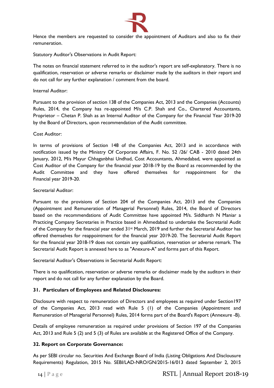

Hence the members are requested to consider the appointment of Auditors and also to fix their remuneration.

Statutory Auditor's Observations in Audit Report:

The notes on financial statement referred to in the auditor's report are self-explanatory. There is no qualification, reservation or adverse remarks or disclaimer made by the auditors in their report and do not call for any further explanation / comment from the board.

## Internal Auditor:

Pursuant to the provision of section 138 of the Companies Act, 2013 and the Companies (Accounts) Rules, 2014, the Company has re-appointed M/s C.P. Shah and Co., Chartered Accountants, Proprietor – Chetan P. Shah as an Internal Auditor of the Company for the Financial Year 2019-20 by the Board of Directors, upon recommendation of the Audit committee.

## Cost Auditor:

In terms of provisions of Section 148 of the Companies Act, 2013 and in accordance with notification issued by the Ministry Of Corporate Affairs, F. No. 52 /26/ CAB - 2010 dated 24th January, 2012, M/s Mayur Chhaganbhai Undhad, Cost Accountants, Ahmedabad, were appointed as Cost Auditor of the Company for the financial year 2018-19 by the Board as recommended by the Audit Committee and they have offered themselves for reappointment for the Financial year 2019-20.

## Secretarial Auditor:

Pursuant to the provisions of Section 204 of the Companies Act, 2013 and the Companies (Appointment and Remuneration of Managerial Personnel) Rules, 2014, the Board of Directors based on the recommendations of Audit Committee have appointed M/s. Siddharth N Maniar a Practicing Company Secretaries in Practice based in Ahmedabad to undertake the Secretarial Audit of the Company for the financial year ended 31st March, 2019 and further the Secretarial Auditor has offered themselves for reappointment for the financial year 2019-20. The Secretarial Audit Report for the financial year 2018-19 does not contain any qualification, reservation or adverse remark. The Secretarial Audit Report is annexed here to as "Anexure-A" and forms part of this Report.

Secretarial Auditor's Observations in Secretarial Audit Report:

There is no qualification, reservation or adverse remarks or disclaimer made by the auditors in their report and do not call for any further explanation by the Board.

# **31. Particulars of Employees and Related Disclosures:**

Disclosure with respect to remuneration of Directors and employees as required under Section197 of the Companies Act, 2013 read with Rule 5 (1) of the Companies (Appointment and Remuneration of Managerial Personnel) Rules, 2014 forms part of the Board's Report (Annexure -B).

Details of employee remuneration as required under provisions of Section 197 of the Companies Act, 2013 and Rule 5 (2) and 5 (3) of Rules are available at the Registered Office of the Company.

# **32. Report on Corporate Governance:**

As per SEBI circular no. Securities And Exchange Board of India (Listing Obligations And Disclousure Requirements) Regulation, 2015 No. SEBI/LAD-NRO/GN/2015-16/013 dated September 2, 2015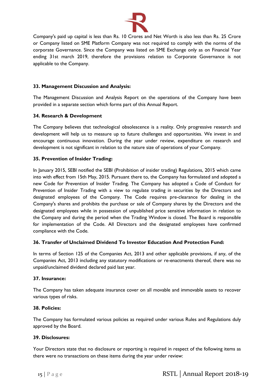

Company's paid up capital is less than Rs. 10 Crores and Net Worth is also less than Rs. 25 Crore or Company listed on SME Platform Company was not required to comply with the norms of the corporate Governance. Since the Company was listed on SME Exchange only as on Financial Year ending 31st march 2019, therefore the provisions relation to Corporate Governance is not applicable to the Company.

# **33. Management Discussion and Analysis:**

The Management Discussion and Analysis Report on the operations of the Company have been provided in a separate section which forms part of this Annual Report.

# **34. Research & Development**

The Company believes that technological obsolescence is a reality. Only progressive research and development will help us to measure up to future challenges and opportunities. We invest in and encourage continuous innovation. During the year under review, expenditure on research and development is not significant in relation to the nature size of operations of your Company.

# **35. Prevention of Insider Trading:**

In January 2015, SEBI notified the SEBI (Prohibition of insider trading) Regulations, 2015 which came into with effect from 15th May, 2015. Pursuant there to, the Company has formulated and adopted a new Code for Prevention of Insider Trading. The Company has adopted a Code of Conduct for Prevention of Insider Trading with a view to regulate trading in securities by the Directors and designated employees of the Company. The Code requires pre-clearance for dealing in the Company's shares and prohibits the purchase or sale of Company shares by the Directors and the designated employees while in possession of unpublished price sensitive information in relation to the Company and during the period when the Trading Window is closed. The Board is responsible for implementation of the Code. All Directors and the designated employees have confirmed compliance with the Code.

# **36. Transfer of Unclaimed Dividend To Investor Education And Protection Fund:**

In terms of Section 125 of the Companies Act, 2013 and other applicable provisions, if any, of the Companies Act, 2013 including any statutory modifications or re-enactments thereof, there was no unpaid/unclaimed dividend declared paid last year.

# **37. Insurance:**

The Company has taken adequate insurance cover on all movable and immovable assets to recover various types of risks.

# **38. Policies:**

The Company has formulated various policies as required under various Rules and Regulations duly approved by the Board.

# **39. Disclosures:**

Your Directors state that no disclosure or reporting is required in respect of the following items as there were no transactions on these items during the year under review: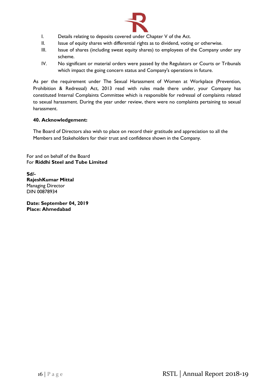

- I. Details relating to deposits covered under Chapter V of the Act.
- II. Issue of equity shares with differential rights as to dividend, voting or otherwise.
- III. Issue of shares (including sweat equity shares) to employees of the Company under any scheme.
- IV. No significant or material orders were passed by the Regulators or Courts or Tribunals which impact the going concern status and Company's operations in future.

As per the requirement under The Sexual Harassment of Women at Workplace (Prevention, Prohibition & Redressal) Act, 2013 read with rules made there under, your Company has constituted Internal Complaints Committee which is responsible for redressal of complaints related to sexual harassment. During the year under review, there were no complaints pertaining to sexual harassment.

# **40. Acknowledgement:**

The Board of Directors also wish to place on record their gratitude and appreciation to all the Members and Stakeholders for their trust and confidence shown in the Company.

For and on behalf of the Board For **Riddhi Steel and Tube Limited**

**Sd/- RajeshKumar Mittal** Managing Director DIN 00878934

**Date: September 04, 2019 Place: Ahmedabad**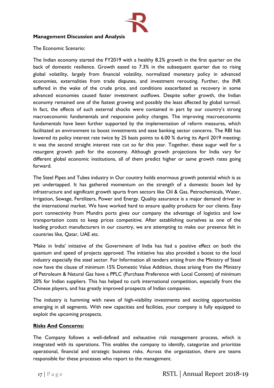

# **Management Discussion and Analysis**

The Economic Scenario:

The Indian economy started the FY2019 with a healthy 8.2% growth in the first quarter on the back of domestic resilience. Growth eased to 7.3% in the subsequent quarter due to rising global volatility, largely from financial volatility, normalized monetary policy in advanced economies, externalities from trade disputes, and investment rerouting. Further, the INR suffered in the wake of the crude price, and conditions exacerbated as recovery in some advanced economies caused faster investment outflows. Despite softer growth, the Indian economy remained one of the fastest growing and possibly the least affected by global turmoil. In fact, the effects of such external shocks were contained in part by our country's strong macroeconomic fundamentals and responsive policy changes. The improving macroeconomic fundamentals have been further supported by the implementation of reform measures, which facilitated an environment to boost investments and ease banking sector concerns. The RBI has lowered its policy interest rate twice by 25 basis points to 6.00 % during its April 2019 meeting; it was the second straight interest rate cut so far this year. Together, these augur well for a resurgent growth path for the economy. Although growth projections for India vary for different global economic institutions, all of them predict higher or same growth rates going forward.

The Steel Pipes and Tubes industry in Our country holds enormous growth potential which is as yet undertapped. It has gathered momentum on the strength of a domestic boom led by infrastructure and significant growth spurts from sectors like Oil & Gas, Petrochemicals, Water, Irrigation, Sewage, Fertilizers, Power and Energy. Quality assurance is a major demand driver in the international market. We have worked hard to ensure quality products for our clients. Easy port connectivity from Mundra ports gives our company the advantage of logistics and low transportation costs to keep prices competitive. After establishing ourselves as one of the leading product manufacturers in our country, we are attempting to make our presence felt in countries like, Qatar, UAE etc.

'Make in India' initiative of the Government of India has had a positive effect on both the quantum and speed of projects approved. The initiative has also provided a boost to the local industry especially the steel sector. For Information all tenders arising from the Ministry of Steel now have the clause of minimum 15% Domestic Value Addition, those arising from the Ministry of Petroleum & Natural Gas have a PPLC (Purchase Preference with Local Content) of minimum 20% for Indian suppliers. This has helped to curb international competition, especially from the Chinese players, and has greatly improved prospects of Indian companies.

The industry is humming with news of high-visibility investments and exciting opportunities emerging in all segments. With new capacities and facilities, your company is fully equipped to exploit the upcoming prospects.

# **Risks And Concerns:**

The Company follows a well-defined and exhaustive risk management process, which is integrated with its operations. This enables the company to identify, categorize and prioritize operational, financial and strategic business risks. Across the organization, there are teams responsible for these processes who report to the management.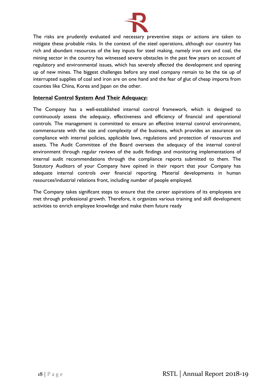

The risks are prudently evaluated and necessary preventive steps or actions are taken to mitigate these probable risks. In the context of the steel operations, although our country has rich and abundant resources of the key inputs for steel making, namely iron ore and coal, the mining sector in the country has witnessed severe obstacles in the past few years on account of regulatory and environmental issues, which has severely affected the development and opening up of new mines. The biggest challenges before any steel company remain to be the tie up of interrupted supplies of coal and iron are on one hand and the fear of glut of cheap imports from counties like China, Korea and Japan on the other.

# **Internal Control System And Their Adequacy:**

The Company has a well-established internal control framework, which is designed to continuously assess the adequacy, effectiveness and efficiency of financial and operational controls. The management is committed to ensure an effective internal control environment, commensurate with the size and complexity of the business, which provides an assurance on compliance with internal policies, applicable laws, regulations and protection of resources and assets. The Audit Committee of the Board oversees the adequacy of the internal control environment through regular reviews of the audit findings and monitoring implementations of internal audit recommendations through the compliance reports submitted to them. The Statutory Auditors of your Company have opined in their report that your Company has adequate internal controls over financial reporting. Material developments in human resources/industrial relations front, including number of people employed.

The Company takes significant steps to ensure that the career aspirations of its employees are met through professional growth. Therefore, it organizes various training and skill development activities to enrich employee knowledge and make them future ready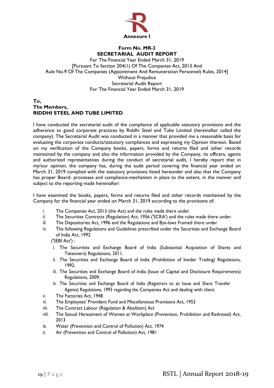

# **Form No. MR-3 SECRETARIAL AUDIT REPORT**

For The Financial Year Ended March 31, 2019 [Pursuant To Section 204(1) Of The Companies Act, 2013 And Rule No.9 Of The Companies (Appointment And Remuneration Personnel) Rules, 2014] Without Prejudice Secretarial Audit Report For The Financial Year Ended March 31, 2019

## **To, The Members, RIDDHI STEEL AND TUBE LIMITED**

I have conducted the secretarial audit of the compliance of applicable statutory provisions and the adherence to good corporate practices by Riddhi Steel and Tube Limited (hereinafter called the company). The Secretarial Audit was conducted in a manner that provided me a reasonable basis for evaluating the corporate conducts/statutory compliances and expressing my Opinion thereon. Based on my verification of the Company books, papers, forms and returns filed and other records maintained by the company and also the information provided by the Company, its officers, agents and authorized representatives during the conduct of secretarial audit, I hereby report that in my/our opinion, the company has, during the audit period covering the financial year ended on March 31, 2019 complied with the statutory provisions listed hereunder and also that the Company has proper Board- processes and compliance-mechanism in place to the extent, in the manner and subject to the reporting made hereinafter:

I have examined the books, papers, forms and returns filed and other records maintained by the Company for the financial year ended on March 31, 2019 according to the provisions of:

- i. The Companies Act, 2013 (the Act) and the rules made there under.
- ii. The Securities Contracts (Regulation) Act, 1956 ('SCRA') and the rules made there under.
- iii. The Depositories Act, 1996 and the Regulations and Bye-laws Framed there under.
- iv. The following Regulations and Guidelines prescribed under the Securities and Exchange Board of India Act, 1992

('SEBI Act') :

- i. The Securities and Exchange Board of India (Substantial Acquisition of Shares and Takeovers) Regulations, 2011.
- ii. The Securities and Exchange Board of India (Prohibition of Insider Trading) Regulations, 1992.
- iii. The Securities and Exchange Board of India (Issue of Capital and Disclosure Requirements) Regulations, 2009.
- iv. The Securities and Exchange Board of India (Registrars to an Issue and Share Transfer Agents) Regulations, 1993 regarding the Companies Act and dealing with client.
- v. The Factories Act, 1948
- vi. The Employees' Provident Fund and Miscellaneous Provisions Act, 1952
- vii. The Contract Labour (Regulation & Abolition) Act
- viii. The Sexual Harassment of Women at Workplace (Prevention, Prohibition and Redressal) Act, 2013
- ix. Water (Prevention and Control of Pollution) Act, 1974
- x. Air (Prevention and Control of Pollution) Act, 1981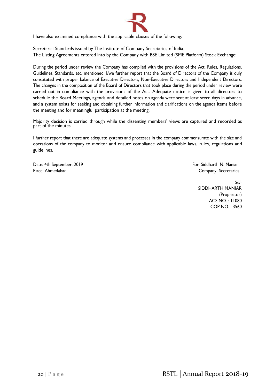![](_page_20_Picture_0.jpeg)

I have also examined compliance with the applicable clauses of the following:

Secretarial Standards issued by The Institute of Company Secretaries of India. The Listing Agreements entered into by the Company with BSE Limited (SME Platform) Stock Exchange;

During the period under review the Company has complied with the provisions of the Act, Rules, Regulations, Guidelines, Standards, etc. mentioned. I/we further report that the Board of Directors of the Company is duly constituted with proper balance of Executive Directors, Non-Executive Directors and Independent Directors. The changes in the composition of the Board of Directors that took place during the period under review were carried out in compliance with the provisions of the Act. Adequate notice is given to all directors to schedule the Board Meetings, agenda and detailed notes on agenda were sent at least seven days in advance, and a system exists for seeking and obtaining further information and clarifications on the agenda items before the meeting and for meaningful participation at the meeting.

Majority decision is carried through while the dissenting members' views are captured and recorded as part of the minutes.

I further report that there are adequate systems and processes in the company commensurate with the size and operations of the company to monitor and ensure compliance with applicable laws, rules, regulations and guidelines.

Date: 4th September, 2019 **Formulation** Controller September, 2019 **Formulation** September, 2019 Place: Ahmedabad Company Secretaries

Sd/- SIDDHARTH MANIAR (Proprietor) ACS NO. : 11080 COP NO. : 3560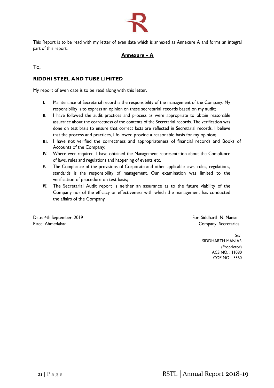![](_page_21_Picture_0.jpeg)

This Report is to be read with my letter of even date which is annexed as Annexure A and forms an integral part of this report.

# **Annexure – A**

To,

# **RIDDHI STEEL AND TUBE LIMITED**

My report of even date is to be read along with this letter.

- **I.** Maintenance of Secretarial record is the responsibility of the management of the Company. My responsibility is to express an opinion on these secretarial records based on my audit;
- **II.** I have followed the audit practices and process as were appropriate to obtain reasonable assurance about the correctness of the contents of the Secretarial records. The verification was done on test basis to ensure that correct facts are reflected in Secretarial records. I believe that the process and practices, I followed provide a reasonable basis for my opinion;
- **III.** I have not verified the correctness and appropriateness of financial records and Books of Accounts of the Company;
- **IV.** Where ever required, I have obtained the Management representation about the Compliance of laws, rules and regulations and happening of events etc.
- **V.** The Compliance of the provisions of Corporate and other applicable laws, rules, regulations, standards is the responsibility of management. Our examination was limited to the verification of procedure on test basis;
- **VI.** The Secretarial Audit report is neither an assurance as to the future viability of the Company nor of the efficacy or effectiveness with which the management has conducted the affairs of the Company

Date: 4th September, 2019 **Formulate: 1998** Formulate: 4th September, 2019 Place: Ahmedabad Company Secretaries

Sd/- SIDDHARTH MANIAR (Proprietor) ACS NO. : 11080 COP NO. : 3560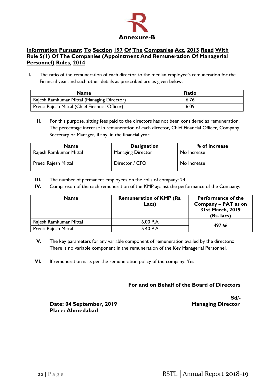![](_page_22_Picture_0.jpeg)

# **Information Pursuant To Section 197 Of The Companies Act, 2013 Read With Rule 5(1) Of The Companies (Appointment And Remuneration Of Managerial Personnel) Rules, 2014**

**I.** The ratio of the remuneration of each director to the median employee's remuneration for the Financial year and such other details as prescribed are as given below:

| <b>Name</b>                                    | <b>Ratio</b> |
|------------------------------------------------|--------------|
| Rajesh Ramkumar Mittal (Managing Director)     | 6.76         |
| Preeti Rajesh Mittal (Chief Financial Officer) | 6.09         |

**II.** For this purpose, sitting fees paid to the directors has not been considered as remuneration. The percentage increase in remuneration of each director, Chief Financial Officer, Company Secretary or Manager, if any, in the financial year

| <b>Name</b>            | <b>Designation</b>       | % of Increase |
|------------------------|--------------------------|---------------|
| Rajesh Ramkumar Mittal | <b>Managing Director</b> | No Increase   |
| Preeti Rajesh Mittal   | Director / CFO           | No Increase   |

- **III.** The number of permanent employees on the rolls of company: 24
- **IV.** Comparison of the each remuneration of the KMP against the performance of the Company:

| <b>Name</b>            | <b>Remuneration of KMP (Rs.</b><br>Lacs) | <b>Performance of the</b><br>Company - PAT as on<br>31st March, 2019<br>(Rs. lacs) |
|------------------------|------------------------------------------|------------------------------------------------------------------------------------|
| Rajesh Ramkumar Mittal | 6.00 P.A                                 | 497.66                                                                             |
| Preeti Rajesh Mittal   | 5.40 P.A                                 |                                                                                    |

- **V.** The key parameters for any variable component of remuneration availed by the directors: There is no variable component in the remuneration of the Key Managerial Personnel.
- **VI.** If remuneration is as per the remuneration policy of the company: Yes

# **For and on Behalf of the Board of Directors**

**Sd/-**

**Date: 04 September, 2019** Managing Director **Place: Ahmedabad**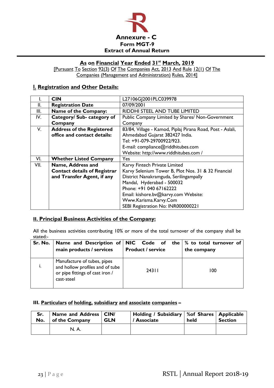![](_page_23_Picture_0.jpeg)

# **As on Financial Year Ended 31st March, 2019**

[Pursuant To Section 92(3) Of The Companies Act, 2013 And Rule 12(1) Of The Companies (Management and Administration) Rules, 2014]

# **I. Registration and Other Details:**

| ٠.   | <b>CIN</b>                          | L27106G 2001PLC039978                                      |  |  |  |  |  |
|------|-------------------------------------|------------------------------------------------------------|--|--|--|--|--|
| II.  | <b>Registration Date</b>            | 07/09/2001                                                 |  |  |  |  |  |
| III. | Name of the Company:                | RIDDHI STEEL AND TUBE LIMITED                              |  |  |  |  |  |
| IV.  | Category/ Sub- category of          | Public Company Limited by Shares/ Non-Government           |  |  |  |  |  |
|      | Company                             | Company                                                    |  |  |  |  |  |
| V.   | <b>Address of the Registered</b>    | 83/84, Village - Kamod, Piplaj Pirana Road, Post - Aslali, |  |  |  |  |  |
|      | office and contact details:         | Ahmedabad Gujarat 382427 India.                            |  |  |  |  |  |
|      |                                     | Tel: +91-079-29700922/923.                                 |  |  |  |  |  |
|      |                                     | E-mail: compliance@riddhitubes.com                         |  |  |  |  |  |
|      |                                     | Website: http://www.riddhitubes.com /                      |  |  |  |  |  |
| VI.  | <b>Whether Listed Company</b>       | Yes                                                        |  |  |  |  |  |
| VII. | Name, Address and                   | Karvy Fintech Private Limited                              |  |  |  |  |  |
|      | <b>Contact details of Registrar</b> | Karvy Selenium Tower B, Plot Nos. 31 & 32 Financial        |  |  |  |  |  |
|      | and Transfer Agent, if any          | District Nanakramguda, Serilingampally                     |  |  |  |  |  |
|      |                                     | Mandal, Hyderabad - 500032                                 |  |  |  |  |  |
|      |                                     | Phone: +91 040 67162222                                    |  |  |  |  |  |
|      |                                     | Email: kishore.bv@karvy.com Website:                       |  |  |  |  |  |
|      |                                     | Www.Karisma.Karvy.Com                                      |  |  |  |  |  |
|      |                                     | SEBI Registration No: INR000000221                         |  |  |  |  |  |

# **II. Principal Business Activities of the Company:**

All the business activities contributing 10% or more of the total turnover of the company shall be stated:-

| Sr. No. | Name and Description of NIC Code of the $\%$ to total turnover of<br>main products / services                   | <b>Product / service</b> | the company |
|---------|-----------------------------------------------------------------------------------------------------------------|--------------------------|-------------|
| Ι.      | Manufacture of tubes, pipes<br>and hollow profiles and of tube<br>or pipe fittings of cast iron /<br>cast-steel | 24311                    | 100         |

# **III. Particulars of holding, subsidiary and associate companies –**

| Sr.<br>No. | Name and Address   CIN/<br>of the Company<br><b>GLN</b> |  | Holding / Subsidiary   % of Shares   Applicable<br>/ Associate | held | <b>Section</b> |
|------------|---------------------------------------------------------|--|----------------------------------------------------------------|------|----------------|
|            | N. A.                                                   |  |                                                                |      |                |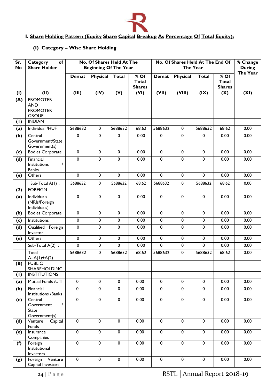![](_page_24_Picture_0.jpeg)

# **I. Share Holding Pattern (Equity Share Capital Breakup As Percentage Of Total Equity):**

# **(I) Category – Wise Share Holding**

| Sr.<br><b>No</b> | of<br><b>Category</b><br><b>Share Holder</b>                      |                  | No. Of Shares Held At The<br><b>Beginning Of The Year</b> |                            |                                         |                          | No. Of Shares Held At The End Of<br>The Year |                  |                                       | % Change<br><b>During</b> |
|------------------|-------------------------------------------------------------------|------------------|-----------------------------------------------------------|----------------------------|-----------------------------------------|--------------------------|----------------------------------------------|------------------|---------------------------------------|---------------------------|
|                  |                                                                   | <b>Demat</b>     | <b>Physical</b>                                           | <b>Total</b>               | $%$ Of<br><b>Total</b><br><b>Shares</b> | <b>Demat</b>             | <b>Physical</b>                              | <b>Total</b>     | % Of<br><b>Total</b><br><b>Shares</b> | The Year                  |
| (1)              | (II)                                                              | (III)            | (IV)                                                      | (V)                        | (VI)                                    | (VII)                    | (VIII)                                       | (IX)             | (X)                                   | (XI)                      |
| (A)              | <b>PROMOTER</b><br><b>AND</b><br><b>PROMOTER</b><br><b>GROUP</b>  |                  |                                                           |                            |                                         |                          |                                              |                  |                                       |                           |
| (1)              | <b>INDIAN</b>                                                     |                  |                                                           |                            |                                         |                          |                                              |                  |                                       |                           |
| (a)              | Individual /HUF                                                   | 5688632          | $\mathbf 0$                                               | 5688632                    | 68.62                                   | 5688632                  | $\mathbf 0$                                  | 5688632          | 68.62                                 | 0.00                      |
| (b)              | Central<br>Government/State<br>Government(s)                      | 0                | 0                                                         | 0                          | 0.00                                    | 0                        | $\pmb{0}$                                    | 0                | 0.00                                  | 0.00                      |
| (c)              | <b>Bodies Corporate</b>                                           | $\pmb{0}$        | $\pmb{0}$                                                 | $\mathbf 0$                | 0.00                                    | $\mathbf 0$              | $\pmb{0}$                                    | $\mathbf 0$      | 0.00                                  | 0.00                      |
| (d)              | Financial<br>Institutions<br>$\prime$<br><b>Banks</b><br>Others   | $\mathbf 0$<br>0 | $\mathbf 0$<br>0                                          | $\mathbf 0$<br>$\mathbf 0$ | 0.00<br>0.00                            | $\mathbf 0$<br>$\pmb{0}$ | $\mathbf 0$<br>$\pmb{0}$                     | $\mathbf 0$<br>0 | 0.00<br>0.00                          | 0.00<br>0.00              |
| (e)              |                                                                   |                  |                                                           |                            |                                         |                          |                                              |                  |                                       |                           |
|                  | Sub-Total $A(1)$ :                                                | 5688632          | 0                                                         | 5688632                    | 68.62                                   | 5688632                  | $\mathbf 0$                                  | 5688632          | 68.62                                 | 0.00                      |
| (2)              | <b>FOREIGN</b>                                                    |                  |                                                           |                            |                                         |                          |                                              |                  |                                       |                           |
| (a)              | Individuals<br>(NRIs/Foreign<br>Individuals)                      | 0                | 0                                                         | 0                          | 0.00                                    | 0                        | $\pmb{0}$                                    | $\pmb{0}$        | 0.00                                  | 0.00                      |
| (b)              | Bodies Corporate                                                  | $\pmb{0}$        | 0                                                         | 0                          | 0.00                                    | 0                        | $\pmb{0}$                                    | $\pmb{0}$        | 0.00                                  | 0.00                      |
| (c)              | Institutions                                                      | 0                | 0                                                         | 0                          | 0.00                                    | $\mathbf 0$              | $\pmb{0}$                                    | 0                | 0.00                                  | 0.00                      |
| (d)              | Qualified Foreign<br>Investor                                     | 0                | 0                                                         | 0                          | 0.00                                    | 0                        | $\pmb{0}$                                    | 0                | 0.00                                  | 0.00                      |
| (e)              | Others                                                            | 0                | 0                                                         | 0                          | 0.00                                    | 0                        | $\pmb{0}$                                    | 0                | 0.00                                  | 0.00                      |
|                  | Sub-Total $A(2)$ :                                                | $\pmb{0}$        | $\pmb{0}$                                                 | 0                          | 0.00                                    | $\overline{0}$           | $\mathbf 0$                                  | 0                | 0.00                                  | 0.00                      |
|                  | Total<br>$A = A(1) + A(2)$                                        | 5688632          | 0                                                         | 5688632                    | 68.62                                   | 5688632                  | $\pmb{0}$                                    | 5688632          | 68.62                                 | 0.00                      |
| (B)              | <b>PUBLIC</b>                                                     |                  |                                                           |                            |                                         |                          |                                              |                  |                                       |                           |
| (1)              | <b>SHAREHOLDING</b><br><b>INSTITUTIONS</b>                        |                  |                                                           |                            |                                         |                          |                                              |                  |                                       |                           |
| (a)              | Mutual Funds /UTI                                                 | $\mathbf 0$      | $\pmb{0}$                                                 | $\pmb{0}$                  | 0.00                                    | $\mathbf 0$              | $\mathbf 0$                                  | $\mathbf 0$      | 0.00                                  | 0.00                      |
| (b)              | Financial<br>Institutions /Banks                                  | $\pmb{0}$        | 0                                                         | $\mathbf 0$                | 0.00                                    | $\mathbf 0$              | $\mathbf 0$                                  | $\mathbf 0$      | 0.00                                  | 0.00                      |
| (c)              | Central<br>Government<br>$\overline{1}$<br>State<br>Government(s) | $\mathbf 0$      | $\pmb{0}$                                                 | $\mathbf 0$                | 0.00                                    | $\mathbf 0$              | $\overline{0}$                               | $\pmb{0}$        | 0.00                                  | 0.00                      |
| (d)              | Venture<br>Capital<br>Funds                                       | 0                | 0                                                         | $\mathbf 0$                | 0.00                                    | $\mathbf 0$              | $\pmb{0}$                                    | $\pmb{0}$        | 0.00                                  | 0.00                      |
| (e)              | Insurance<br>Companies                                            | 0                | $\pmb{0}$                                                 | $\mathbf 0$                | 0.00                                    | $\mathbf 0$              | $\pmb{0}$                                    | $\pmb{0}$        | 0.00                                  | 0.00                      |
| ( f )            | Foreign<br>Institutional<br>Investors                             | 0                | 0                                                         | $\mathbf 0$                | 0.00                                    | $\mathbf 0$              | $\pmb{0}$                                    | $\pmb{0}$        | 0.00                                  | 0.00                      |
| (g)              | Foreign Venture<br>Capital Investors                              | $\pmb{0}$        | $\pmb{0}$                                                 | 0                          | 0.00                                    | $\pmb{0}$                | $\pmb{0}$                                    | $\pmb{0}$        | 0.00                                  | 0.00                      |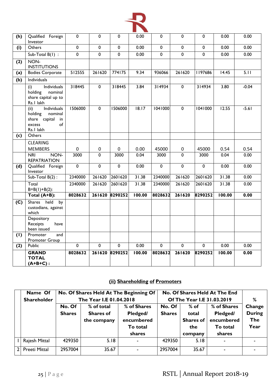![](_page_25_Picture_0.jpeg)

| (h)                       | Qualified Foreign<br>Investor                                                                       | $\pmb{0}$      | 0              | $\mathbf 0$    | 0.00   | 0              | $\pmb{0}$      | $\mathbf 0$             | 0.00   | 0.00    |
|---------------------------|-----------------------------------------------------------------------------------------------------|----------------|----------------|----------------|--------|----------------|----------------|-------------------------|--------|---------|
| (i)                       | Others                                                                                              | $\mathbf 0$    | 0              | $\mathbf 0$    | 0.00   | $\mathbf 0$    | $\mathbf 0$    | $\mathbf 0$             | 0.00   | 0.00    |
|                           | Sub-Total $B(1)$ :                                                                                  | $\overline{0}$ | $\overline{0}$ | $\overline{0}$ | 0.00   | $\overline{0}$ | $\overline{0}$ | $\mathbf 0$             | 0.00   | 0.00    |
| (2)                       | NON-<br><b>INSTITUTIONS</b>                                                                         |                |                |                |        |                |                |                         |        |         |
| (a)                       | <b>Bodies Corporate</b>                                                                             | 512555         | 261620         | 774175         | 9.34   | 936066         | 261620         | 1197686                 | 14.45  | 5.11    |
| $\overline{(\mathsf{b})}$ | Individuals                                                                                         |                |                |                |        |                |                |                         |        |         |
|                           | Individuals<br>(i)<br>holding<br>nominal<br>share capital up to<br>Rs. I lakh                       | 318445         | $\mathbf 0$    | 318445         | 3.84   | 314934         | $\mathbf 0$    | 314934                  | 3.80   | $-0.04$ |
|                           | Individuals<br>(i)<br>holding<br>nominal<br>share capital<br>in<br>$\circ$ f<br>excess<br>Rs.1 lakh | 1506000        | $\mathbf 0$    | 1506000        | 18.17  | 1041000        | $\mathbf 0$    | 1041000                 | 12.55  | $-5.61$ |
| (c)                       | Others                                                                                              |                |                |                |        |                |                |                         |        |         |
|                           | <b>CLEARING</b>                                                                                     |                |                |                |        |                |                |                         |        |         |
|                           | <b>MEMBERS</b>                                                                                      | $\pmb{0}$      | 0              | 0              | 0.00   | 45000          | 0              | 45000                   | 0.54   | 0.54    |
|                           | NON-<br><b>NRI</b><br><b>REPATRIATION</b>                                                           | 3000           | 0              | 3000           | 0.04   | 3000           | $\mathbf 0$    | 3000                    | 0.04   | 0.00    |
| (d)                       | Qualified Foreign<br>Investor                                                                       | $\overline{0}$ | $\overline{0}$ | $\overline{0}$ | 0.00   | $\overline{0}$ | $\overline{0}$ | $\overline{0}$          | 0.00   | 0.00    |
|                           | Sub-Total $B(2)$ :                                                                                  | 2340000        | 261620         | 2601620        | 31.38  | 2340000        | 261620         | 2601620                 | 31.38  | 0.00    |
|                           | Total<br>$B=B(1)+B(2)$ :                                                                            | 2340000        | 261620         | 2601620        | 31.38  | 2340000        | 261620         | 2601620                 | 31.38  | 0.00    |
|                           | Total (A+B):                                                                                        | 8028632        | 261620         | 8290252        | 100.00 | 8028632        | 261620         | 8290252                 | 100.00 | 0.00    |
| (C)                       | Shares held<br>by<br>custodians, against<br>which                                                   |                |                |                |        |                |                |                         |        |         |
|                           | Depository<br>Receipts<br>have<br>been issued                                                       |                |                |                |        |                |                |                         |        |         |
| (1)                       | Promoter<br>and<br>Promoter Group                                                                   |                |                |                |        |                |                |                         |        |         |
| (2)                       | Public                                                                                              | $\overline{0}$ | $\overline{0}$ | $\overline{0}$ | 0.00   | $\pmb{0}$      | $\pmb{0}$      | $\overline{\mathbf{0}}$ | 0.00   | 0.00    |
|                           | <b>GRAND</b><br><b>TOTAL</b><br>$(A+B+C)$ :                                                         | 8028632        | 261620         | 8290252        | 100.00 | 8028632        | 261620         | 8290252                 | 100.00 | 0.00    |

# **(ii) Shareholding of Promoters**

| Name Of<br><b>Shareholder</b> |               | The Year I.E 01.04.2018 | No. Of Shares Held At The Beginning Of | No. Of Shares Held At The End<br>Of The Year I.E 31.03.2019 | ℅                |             |               |
|-------------------------------|---------------|-------------------------|----------------------------------------|-------------------------------------------------------------|------------------|-------------|---------------|
|                               | No. Of        | % of total              | % of Shares                            | No. Of                                                      | $%$ of           | % of Shares | Change        |
|                               | <b>Shares</b> | <b>Shares of</b>        | Pledged/                               | <b>Shares</b>                                               | total            | Pledged/    | <b>During</b> |
|                               |               | the company             | encumbered                             |                                                             | <b>Shares of</b> | encumbered  | <b>The</b>    |
|                               |               |                         | To total                               |                                                             | the              | To total    | Year          |
|                               |               |                         | shares                                 |                                                             | company          | shares      |               |
| Rajesh Mittal                 | 429350        | 5.18                    |                                        | 429350                                                      | 5.18             |             |               |
| Preeti Mittal                 | 2957004       | 35.67                   |                                        | 2957004                                                     | 35.67            |             |               |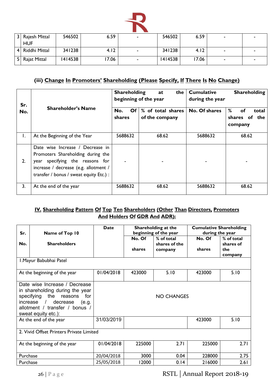![](_page_26_Picture_0.jpeg)

| 3 <sup>1</sup><br>Rajesh Mittal<br><b>HUF</b> | 546502  | 6.59 |        | 546502  | 6.59  | ۰ |  |
|-----------------------------------------------|---------|------|--------|---------|-------|---|--|
| Riddhi Mittal<br>4 <sup>1</sup>               | 341238  | 4.12 | $\sim$ | 341238  | 4.12  |   |  |
| Rajat Mittal<br>51                            | 1414538 | 7.06 | -      | 1414538 | 17.06 |   |  |

# **(iii) Change In Promoters' Shareholding (Please Specify, If There Is No Change)**

| Sr. |                                                                                                                                                                                              | <b>Shareholding</b>              | the<br>at<br>beginning of the year  | <b>Cumulative</b><br><b>Shareholding</b><br>during the year |                                                 |  |
|-----|----------------------------------------------------------------------------------------------------------------------------------------------------------------------------------------------|----------------------------------|-------------------------------------|-------------------------------------------------------------|-------------------------------------------------|--|
| No. | <b>Shareholder's Name</b>                                                                                                                                                                    | Of <sub>l</sub><br>No.<br>shares | % of total shares<br>of the company | No. Of shares                                               | %<br>of<br>total<br>of the<br>shares<br>company |  |
| Ι.  | At the Beginning of the Year                                                                                                                                                                 | 5688632                          | 68.62                               | 5688632                                                     | 68.62                                           |  |
| 2.  | Date wise Increase / Decrease in<br>Promoters Shareholding during the<br>year specifying the reasons for<br>increase / decrease (e.g. allotment /<br>transfer / bonus / sweat equity Etc.) : |                                  |                                     |                                                             |                                                 |  |
| 3.  | At the end of the year                                                                                                                                                                       | 5688632                          | 68.62                               | 5688632                                                     | 68.62                                           |  |

# **IV. Shareholding Pattern Of Top Ten Shareholders (Other Than Directors, Promoters And Holders Of GDR And ADR):**

| Sr.                     | Name of Top 10                                                                                                                                                                                        | <b>Date</b> | Shareholding at the<br>beginning of the year |                                        | <b>Cumulative Shareholding</b><br>during the year |                                           |  |
|-------------------------|-------------------------------------------------------------------------------------------------------------------------------------------------------------------------------------------------------|-------------|----------------------------------------------|----------------------------------------|---------------------------------------------------|-------------------------------------------|--|
| No.                     | <b>Shareholders</b>                                                                                                                                                                                   |             | No. Of<br>shares                             | % of total<br>shares of the<br>company | No. Of<br>shares                                  | % of total<br>shares of<br>the<br>company |  |
| I. Mayur Babubhai Patel |                                                                                                                                                                                                       |             |                                              |                                        |                                                   |                                           |  |
|                         | At the beginning of the year                                                                                                                                                                          | 01/04/2018  | 423000                                       | 5.10                                   | 423000                                            | 5.10                                      |  |
|                         | Date wise Increase / Decrease<br>in shareholding during the year<br>specifying<br>the<br>reasons<br>for<br>increase $/$<br>decrease<br>(e.g.<br>allotment / transfer / bonus /<br>sweat equity etc.): |             |                                              | <b>NO CHANGES</b>                      |                                                   |                                           |  |
|                         | At the end of the year                                                                                                                                                                                | 31/03/2019  |                                              |                                        | 423000                                            | 5.10                                      |  |
|                         | 2. Vivid Offset Printers Private Limited                                                                                                                                                              |             |                                              |                                        |                                                   |                                           |  |
|                         | At the beginning of the year                                                                                                                                                                          | 01/04/2018  | 225000                                       | 2.71                                   | 225000                                            | 2.71                                      |  |
| Purchase                |                                                                                                                                                                                                       | 20/04/2018  | 3000                                         | 0.04                                   | 228000                                            | 2.75                                      |  |
| Purchase                |                                                                                                                                                                                                       | 25/05/2018  | 12000                                        | 0.14                                   | 216000                                            | 2.61                                      |  |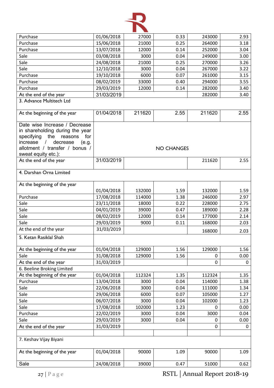![](_page_27_Picture_0.jpeg)

| Purchase                                                         | 01/06/2018 | 27000  | 0.33              | 243000      | 2.93 |
|------------------------------------------------------------------|------------|--------|-------------------|-------------|------|
| Purchase                                                         | 15/06/2018 | 21000  | 0.25              | 264000      | 3.18 |
| Purchase                                                         | 13/07/2018 | 12000  | 0.14              | 252000      | 3.04 |
| Sale                                                             | 03/08/2018 | 3000   | 0.04              | 249000      | 3.00 |
| Sale                                                             | 24/08/2018 | 21000  | 0.25              | 270000      | 3.26 |
| Sale                                                             | 12/10/2018 | 3000   | 0.04              | 267000      | 3.22 |
| Purchase                                                         | 19/10/2018 | 6000   | 0.07              | 261000      | 3.15 |
| Purchase                                                         | 08/02/2019 | 33000  | 0.40              | 294000      | 3.55 |
| Purchase                                                         | 29/03/2019 | 12000  | 0.14              | 282000      | 3.40 |
| At the end of the year                                           | 31/03/2019 |        |                   | 282000      | 3.40 |
| 3. Advance Multitech Ltd                                         |            |        |                   |             |      |
| At the beginning of the year                                     | 01/04/2018 | 211620 | 2.55              | 211620      | 2.55 |
| Date wise Increase / Decrease<br>in shareholding during the year |            |        |                   |             |      |
| specifying<br>the<br>reasons<br>for                              |            |        |                   |             |      |
| decrease<br>increase<br>$\sqrt{2}$<br>(e.g.                      |            |        |                   |             |      |
| allotment / transfer / bonus /                                   |            |        | <b>NO CHANGES</b> |             |      |
| sweat equity etc.):                                              |            |        |                   |             |      |
| At the end of the year                                           | 31/03/2019 |        |                   | 211620      | 2.55 |
| 4. Darshan Orna Limited                                          |            |        |                   |             |      |
| At the beginning of the year                                     |            |        |                   |             |      |
|                                                                  | 01/04/2018 | 132000 | 1.59              | 132000      | 1.59 |
| Purchase                                                         | 17/08/2018 | 114000 | 1.38              | 246000      | 2.97 |
| Sale                                                             | 23/11/2018 | 18000  | 0.22              | 228000      | 2.75 |
| Sale                                                             | 04/01/2019 | 39000  | 0.47              | 189000      | 2.28 |
| Sale                                                             | 08/02/2019 | 12000  | 0.14              | 177000      | 2.14 |
| Sale                                                             | 29/03/2019 | 9000   | 0.11              | 168000      | 2.03 |
| At the end of the year                                           | 31/03/2019 |        |                   | 168000      | 2.03 |
| 5. Ketan Rasiklal Shah                                           |            |        |                   |             |      |
|                                                                  |            |        |                   |             |      |
| At the beginning of the year                                     | 01/04/2018 | 129000 | 1.56              | 129000      | 1.56 |
| Sale                                                             | 31/08/2018 | 129000 | 1.56              | 0           | 0.00 |
| At the end of the year                                           | 31/03/2019 |        |                   | $\mathbf 0$ | 0    |
| 6. Beeline Broking Limited                                       |            |        |                   |             |      |
| At the beginning of the year                                     | 01/04/2018 | 112324 | 1.35              | 112324      | 1.35 |
| Purchase                                                         | 13/04/2018 | 3000   | 0.04              | 114000      | 1.38 |
| Sale                                                             | 22/06/2018 | 3000   | 0.04              | 111000      | 1.34 |
| Sale                                                             | 29/06/2018 | 6000   | 0.07              | 105000      | 1.27 |
| Sale                                                             | 06/07/2018 | 3000   | 0.04              | 102000      | 1.23 |
| Sale                                                             | 17/08/2018 | 102000 | 1.23              | 0           | 0.00 |
| Purchase                                                         | 22/02/2019 | 3000   | 0.04              | 3000        | 0.04 |
| Sale                                                             | 29/03/2019 | 3000   | 0.04              | 0           | 0.00 |
| At the end of the year                                           | 31/03/2019 |        |                   | 0           | 0    |
| 7. Keshav Vijay Biyani                                           |            |        |                   |             |      |
|                                                                  |            |        |                   |             |      |
| At the beginning of the year                                     | 01/04/2018 | 90000  | 1.09              | 90000       | 1.09 |
| Sale                                                             | 24/08/2018 | 39000  | 0.47              | 51000       | 0.62 |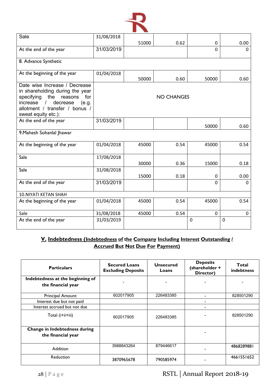![](_page_28_Picture_0.jpeg)

| Sale                                                                                                    | 31/08/2018 |       |                   |             |          |
|---------------------------------------------------------------------------------------------------------|------------|-------|-------------------|-------------|----------|
|                                                                                                         |            | 51000 | 0.62              | 0           | 0.00     |
| At the end of the year                                                                                  | 31/03/2019 |       |                   | $\Omega$    | $\Omega$ |
| 8. Advance Synthetic                                                                                    |            |       |                   |             |          |
| At the beginning of the year                                                                            | 01/04/2018 | 50000 | 0.60              | 50000       | 0.60     |
| Date wise Increase / Decrease<br>in shareholding during the year<br>specifying<br>the<br>for<br>reasons |            |       | <b>NO CHANGES</b> |             |          |
| decrease<br>increase<br>$\sqrt{2}$<br>(e.g.<br>allotment / transfer / bonus /<br>sweat equity etc.):    |            |       |                   |             |          |
| At the end of the year                                                                                  | 31/03/2019 |       |                   | 50000       | 0.60     |
| 9. Mahesh Sohanlal Jhawar                                                                               |            |       |                   |             |          |
| At the beginning of the year                                                                            | 01/04/2018 | 45000 | 0.54              | 45000       | 0.54     |
| Sale                                                                                                    | 17/08/2018 | 30000 | 0.36              | 15000       | 0.18     |
| Sale                                                                                                    | 31/08/2018 | 15000 | 0.18              | 0           | 0.00     |
| At the end of the year                                                                                  | 31/03/2019 |       |                   | $\Omega$    | ∩        |
| <b>10.NIYATI KETAN SHAH</b>                                                                             |            |       |                   |             |          |
| At the beginning of the year                                                                            | 01/04/2018 | 45000 | 0.54              | 45000       | 0.54     |
| Sale                                                                                                    | 31/08/2018 | 45000 | 0.54              | $\mathbf 0$ | 0        |
| At the end of the year                                                                                  | 31/03/2019 |       |                   | 0           | 0        |

# **V. Indebtedness (Indebtedness of the Company Including Interest Outstanding / Accrued But Not Due For Payment)**

| <b>Particulars</b>                                     | <b>Secured Loans</b><br><b>Excluding Deposits</b> | <b>Unsecured</b><br>Loans | <b>Deposits</b><br>(shareholder +<br>Director) | Total<br>indebtness |
|--------------------------------------------------------|---------------------------------------------------|---------------------------|------------------------------------------------|---------------------|
| Indebtedness at the beginning of<br>the financial year |                                                   |                           |                                                |                     |
| Principal Amount                                       | 602017905                                         | 226483385                 |                                                | 828501290           |
| Interest due but not paid                              |                                                   |                           |                                                |                     |
| Interest accrued but not due                           |                                                   |                           |                                                |                     |
| Total (i+ii+iii)                                       | 602017905                                         | 226483385                 |                                                | 828501290           |
| Change in Indebtedness during<br>the financial year    |                                                   |                           |                                                |                     |
| Addition                                               | 3988843264                                        | 879446617                 |                                                | 4868289881          |
| Reduction                                              | 3870965678                                        | 790585974                 |                                                | 4661551652          |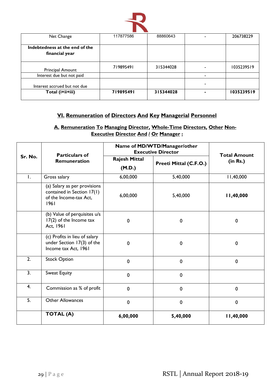![](_page_29_Picture_0.jpeg)

| Net Change                     | 117877586 | 88860643  | 206738229  |
|--------------------------------|-----------|-----------|------------|
|                                |           |           |            |
| Indebtedness at the end of the |           |           |            |
| financial year                 |           |           |            |
|                                |           |           |            |
|                                | 719895491 | 315344028 | 1035239519 |
| <b>Principal Amount</b>        |           |           |            |
| Interest due but not paid      |           |           |            |
|                                |           |           |            |
| Interest accrued but not due   |           |           |            |
| Total (i+ii+iii)               | 719895491 | 315344028 | 1035239519 |
|                                |           |           |            |

# **VI. Remuneration of Directors And Key Managerial Personnel**

# **A. Remuneration To Managing Director, Whole-Time Directors, Other Non-Executive Director And / Or Manager :**

|              | <b>Particulars of</b>                                                                        | Name of MD/WTD/Manager/other<br><b>Executive Director</b> |                        | <b>Total Amount</b> |
|--------------|----------------------------------------------------------------------------------------------|-----------------------------------------------------------|------------------------|---------------------|
| Sr. No.      | Remuneration                                                                                 | <b>Rajesh Mittal</b><br>(M.D.)                            | Preeti Mittal (C.F.O.) | (in Rs.)            |
| $\mathsf{L}$ | Gross salary                                                                                 | 6,00,000                                                  | 5,40,000               | 11,40,000           |
|              | (a) Salary as per provisions<br>contained in Section 17(1)<br>of the Income-tax Act,<br>1961 | 6,00,000                                                  | 5,40,000               | 11,40,000           |
|              | (b) Value of perquisites u/s<br>17(2) of the Income tax<br>Act, 1961                         | $\mathbf 0$                                               | $\mathbf 0$            | 0                   |
|              | (c) Profits in lieu of salary<br>under Section 17(3) of the<br>Income tax Act, 1961          | $\mathbf 0$                                               | $\mathbf 0$            | 0                   |
| 2.           | <b>Stock Option</b>                                                                          | $\mathbf 0$                                               | $\mathbf 0$            | $\mathbf 0$         |
| 3.           | Sweat Equity                                                                                 | $\mathbf 0$                                               | $\mathbf 0$            |                     |
| 4.           | Commission as % of profit                                                                    | $\mathbf 0$                                               | $\mathbf 0$            | $\mathbf 0$         |
| 5.           | <b>Other Allowances</b>                                                                      | $\mathbf 0$                                               | $\mathbf 0$            | $\mathbf 0$         |
|              | <b>TOTAL (A)</b>                                                                             | 6,00,000                                                  | 5,40,000               | 11,40,000           |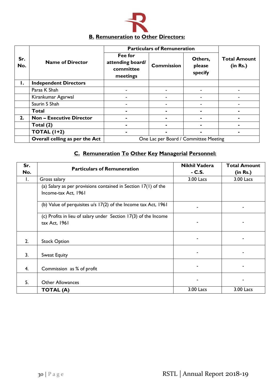![](_page_30_Picture_0.jpeg)

#### **Sr. No. Name of Director Particulars of Remuneration Total Amount (in Rs.) Fee for attending board/ committee meetings Commission Others, please specify 1. Independent Directors** Paras K Shah - - - - Kirankumar Agarwal - - - - Saurin S Shah - - - - **Total - - - - 2. Non – Executive Director - - - - Total (2) - - - - TOTAL (1+2) - - - -**

**Overall celling as per the Act | Cone Lac per Board / Committee Meeting** 

# **C. Remuneration To Other Key Managerial Personnel:**

| Sr. | <b>Particulars of Remuneration</b>                                                       | <b>Nikhil Vadera</b> | <b>Total Amount</b> |
|-----|------------------------------------------------------------------------------------------|----------------------|---------------------|
| No. |                                                                                          | $-C.S.$              | (in Rs.)            |
| Ι.  | Gross salary                                                                             | 3.00 Lacs            | 3.00 Lacs           |
|     | (a) Salary as per provisions contained in Section $17(1)$ of the<br>Income-tax Act, 1961 |                      |                     |
|     | (b) Value of perquisites u/s 17(2) of the Income tax Act, 1961                           |                      |                     |
|     | (c) Profits in lieu of salary under Section 17(3) of the Income<br>tax Act, 1961         |                      |                     |
| 2.  | <b>Stock Option</b>                                                                      |                      |                     |
| 3.  | Sweat Equity                                                                             |                      |                     |
| 4.  | Commission as % of profit                                                                |                      |                     |
| 5.  | <b>Other Allowances</b>                                                                  |                      |                     |
|     | <b>TOTAL (A)</b>                                                                         | 3.00 Lacs            | 3.00 Lacs           |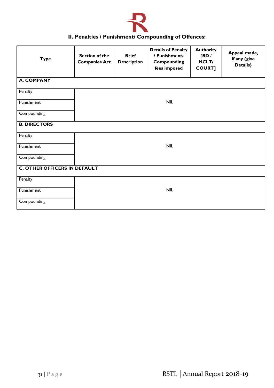![](_page_31_Picture_0.jpeg)

# **II. Penalties / Punishment/ Compounding of Offences:**

| <b>Type</b>                         | <b>Section of the</b><br><b>Companies Act</b> | <b>Brief</b><br><b>Description</b> | <b>Details of Penalty</b><br>/ Punishment/<br><b>Compounding</b><br>fees imposed | <b>Authority</b><br>[RD/<br>NCLT/<br><b>COURT]</b> | Appeal made,<br>if any (give<br>Details) |  |
|-------------------------------------|-----------------------------------------------|------------------------------------|----------------------------------------------------------------------------------|----------------------------------------------------|------------------------------------------|--|
| <b>A. COMPANY</b>                   |                                               |                                    |                                                                                  |                                                    |                                          |  |
| Penalty                             |                                               |                                    |                                                                                  |                                                    |                                          |  |
| Punishment                          |                                               | <b>NIL</b>                         |                                                                                  |                                                    |                                          |  |
| Compounding                         |                                               |                                    |                                                                                  |                                                    |                                          |  |
| <b>B. DIRECTORS</b>                 |                                               |                                    |                                                                                  |                                                    |                                          |  |
| Penalty                             |                                               |                                    |                                                                                  |                                                    |                                          |  |
| Punishment                          | <b>NIL</b>                                    |                                    |                                                                                  |                                                    |                                          |  |
| Compounding                         |                                               |                                    |                                                                                  |                                                    |                                          |  |
| <b>C. OTHER OFFICERS IN DEFAULT</b> |                                               |                                    |                                                                                  |                                                    |                                          |  |
| Penalty                             |                                               |                                    |                                                                                  |                                                    |                                          |  |
| Punishment                          |                                               |                                    | <b>NIL</b>                                                                       |                                                    |                                          |  |
| Compounding                         |                                               |                                    |                                                                                  |                                                    |                                          |  |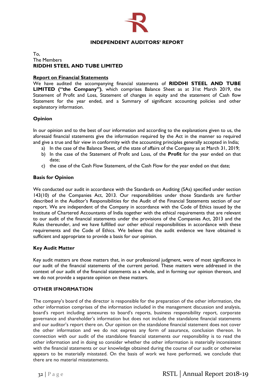![](_page_32_Picture_0.jpeg)

# **INDEPENDENT AUDITORS' REPORT**

## To, The Members **RIDDHI STEEL AND TUBE LIMITED**

## **Report on Financial Statements**

We have audited the accompanying financial statements of **RIDDHI STEEL AND TUBE LIMITED ("the Company")**, which comprises Balance Sheet as at 31st March 2019, the Statement of Profit and Loss, Statement of changes in equity and the statement of Cash flow Statement for the year ended, and a Summary of significant accounting policies and other explanatory information.

## **Opinion**

In our opinion and to the best of our information and according to the explanations given to us, the aforesaid financial statements give the information required by the Act in the manner so required and give a true and fair view in conformity with the accounting principles generally accepted in India;

- a) In the case of the Balance Sheet, of the state of affairs of the Company as at March 31, 2019;
- b) In the case of the Statement of Profit and Loss, of the **Profit** for the year ended on that date;
- c) the case of the Cash Flow Statement, of the Cash Flow for the year ended on that date;

## **Basis for Opinion**

We conducted our audit in accordance with the Standards on Auditing (SAs) specified under section 143(10) of the Companies Act, 2013. Our responsibilities under those Standards are further described in the Auditor's Responsibilities for the Audit of the Financial Statements section of our report. We are independent of the Company in accordance with the Code of Ethics issued by the Institute of Chartered Accountants of India together with the ethical requirements that are relevant to our audit of the financial statements under the provisions of the Companies Act, 2013 and the Rules thereunder, and we have fulfilled our other ethical responsibilities in accordance with these requirements and the Code of Ethics. We believe that the audit evidence we have obtained is sufficient and appropriate to provide a basis for our opinion.

## **Key Audit Matter**

Key audit matters are those matters that, in our professional judgment, were of most significance in our audit of the financial statements of the current period. These matters were addressed in the context of our audit of the financial statements as a whole, and in forming our opinion thereon, and we do not provide a separate opinion on these matters.

## **OTHER IFNORMATION**

The company's board of the director is responsible for the preparation of the other information, the other information comprises of the information included in the management discussion and analysis, board's report including annexures to board's reports, business responsibility report, corporate governance and shareholder's information but does not include the standalone financial statements and our auditor's report there on. Our opinion on the standalone financial statement does not cover the other information and we do not express any form of assurance, conclusion thereon. In connection with our audit of the standalone financial statements our responsibility is to read the other information and in doing so consider whether the other information is materially inconsistent with the financial statements or our knowledge obtained during the course of our audit or otherwise appears to be materially misstated. On the basis of work we have performed, we conclude that there are no material misstatements.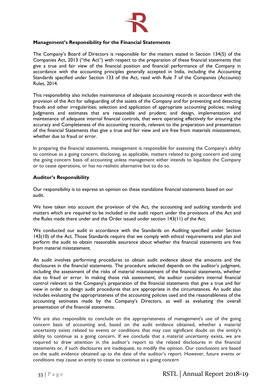![](_page_33_Picture_0.jpeg)

## **Management's Responsibility for the Financial Statements**

The Company's Board of Directors is responsible for the matters stated in Section 134(5) of the Companies Act, 2013 ("the Act") with respect to the preparation of these financial statements that give a true and fair view of the financial position and financial performance of the Company in accordance with the accounting principles generally accepted in India, including the Accounting Standards specified under Section 133 of the Act, read with Rule 7 of the Companies (Accounts) Rules, 2014.

This responsibility also includes maintenance of adequate accounting records in accordance with the provision of the Act for safeguarding of the assets of the Company and for preventing and detecting frauds and other irregularities; selection and application of appropriate accounting policies; making Judgments and estimates that are reasonable and prudent; and design, implementation and maintenance of adequate internal financial controls, that were operating effectively for ensuring the accuracy and Completeness of the accounting records, relevant to the preparation and presentation of the financial Statements that give a true and fair view and are free from materials misstatement, whether due to fraud or error.

In preparing the financial statements, management is responsible for assessing the Company's ability to continue as a going concern, disclosing, as applicable, matters related to going concern and using the going concern basis of accounting unless management either intends to liquidate the Company or to cease operations, or has no realistic alternative but to do so.

## **Auditor's Responsibility**

Our responsibility is to express an opinion on these standalone financial statements based on our audit.

We have taken into account the provision of the Act, the accounting and auditing standards and matters which are required to be included in the audit report under the provisions of the Act and the Rules made there under and the Order issued under section 143(11) of the Act.

We conducted our audit in accordance with the Standards on Auditing specified under Section 143(10) of the Act. Those Standards require that we comply with ethical requirements and plan and perform the audit to obtain reasonable assurance about whether the financial statements are free from material misstatement.

An audit involves performing procedures to obtain audit evidence about the amounts and the disclosures in the financial statements. The procedure selected depends on the auditor's judgment, including the assessment of the risks of material misstatement of the financial statements, whether due to fraud or error. In making those risk assessment, the auditor considers internal financial control relevant to the Company's preparation of the financial statements that give a true and fair view in order to design audit procedures that are appropriate in the circumstances. An audit also includes evaluating the appropriateness of the accounting policies used and the reasonableness of the accounting estimates made by the Company's Directors, as well as evaluating the overall presentation of the financial statements.

We are also responsible to conclude on the appropriateness of management's use of the going concern basis of accounting and, based on the audit evidence obtained, whether a material uncertainty exists related to events or conditions that may cast significant doubt on the entity's ability to continue as a going concern. If we conclude that a material uncertainty exists, we are required to draw attention in the auditor's report to the related disclosures in the financial statements or, if such disclosures are inadequate, to modify the opinion. Our conclusions are based on the audit evidence obtained up to the date of the auditor's report. However, future events or conditions may cause an entity to cease to continue as a going concern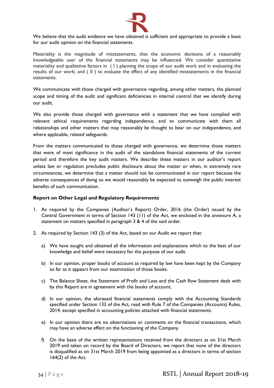![](_page_34_Picture_0.jpeg)

We believe that the audit evidence we have obtained is sufficient and appropriate to provide a basis for our audit opinion on the financial statements.

Materiality is the magnitude of misstatements, that the economic decisions of a reasonably knowledgeable user of the financial statements may be influenced. We consider quantitative materiality and qualitative factors in (1) planning the scope of our audit work and in evaluating the results of our work; and ( II ) to evaluate the effect of any identified misstatements in the financial statements.

We communicate with those charged with governance regarding, among other matters, the planned scope and timing of the audit and significant deficiencies in internal control that we identify during our audit.

We also provide those charged with governance with a statement that we have complied with relevant ethical requirements regarding independence, and to communicate with them all relationships and other matters that may reasonably be thought to bear on our independence, and where applicable, related safeguards.

From the matters communicated to those charged with governance, we determine those matters that were of most significance in the audit of the standalone financial statements of the current period and therefore the key audit matters. We describe these matters in our auditor's report unless law or regulation precludes public disclosure about the matter or when, in extremely rare circumstances, we determine that a matter should not be communicated in our report because the adverse consequences of doing so we would reasonably be expected to outweigh the public interest benefits of such communication.

## **Report on Other Legal and Regulatory Requirements**

- 1. As required by the Companies (Auditor's Report) Order, 2016 (the Order) issued by the Central Government in terms of Section 143 (11) of the Act, we enclosed in the annexure A, a statement on matters specified in paragraph 3 & 4 of the said order.
- 2. As required by Section 143 (3) of the Act, based on our Audit we report that:
	- a) We have sought and obtained all the information and explanations which to the best of our knowledge and belief were necessary for the purpose of our audit.
	- b) In our opinion, proper books of account as required by law have been kept by the Company so far as it appears from our examination of those books.
	- c) The Balance Sheet, the Statement of Profit and Loss and the Cash flow Statement dealt with by this Report are in agreement with the books of account.
	- d) In our opinion, the aforesaid financial statements comply with the Accounting Standards specified under Section 133 of the Act, read with Rule 7 of the Companies (Accounts) Rules, 2014, except specified in accounting policies attached with financial statements.
	- e) In our opinion there are no observations or comments on the financial transactions, which may have an adverse effect on the functioning of the Company.
	- f) On the basis of the written representations received from the directors as on 31st March 2019 and taken on record by the Board of Directors, we report that none of the directors is disqualified as on 31st March 2019 from being appointed as a directors in terms of section 164(2) of the Act.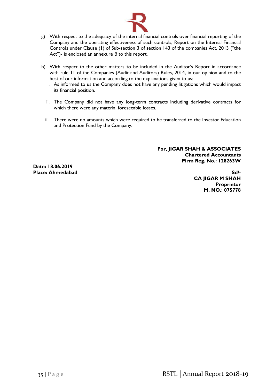![](_page_35_Picture_0.jpeg)

- g) With respect to the adequacy of the internal financial controls over financial reporting of the Company and the operating effectiveness of such controls, Report on the Internal Financial Controls under Clause (1) of Sub-section 3 of section 143 of the companies Act, 2013 ("the Act")- is enclosed an annexure B to this report.
- h) With respect to the other matters to be included in the Auditor's Report in accordance with rule 11 of the Companies (Audit and Auditors) Rules, 2014, in our opinion and to the best of our information and according to the explanations given to us:
	- i. As informed to us the Company does not have any pending litigations which would impact its financial position.
	- ii. The Company did not have any long-term contracts including derivative contracts for which there were any material foreseeable losses.
	- iii. There were no amounts which were required to be transferred to the Investor Education and Protection Fund by the Company.

**For, JIGAR SHAH & ASSOCIATES Chartered Accountants Firm Reg. No.: 128263W**

**Date: 18.06.2019 Place: Ahmedabad Sd/-**

**CA JIGAR M SHAH Proprietor M. NO.: 075778**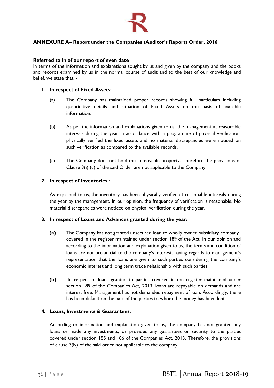![](_page_36_Picture_0.jpeg)

# **ANNEXURE A– Report under the Companies (Auditor's Report) Order, 2016**

## **Referred to in of our report of even date**

In terms of the information and explanations sought by us and given by the company and the books and records examined by us in the normal course of audit and to the best of our knowledge and belief, we state that: -

## **1. In respect of Fixed Assets:**

- (a) The Company has maintained proper records showing full particulars including quantitative details and situation of Fixed Assets on the basis of available information.
- (b) As per the information and explanations given to us, the management at reasonable intervals during the year in accordance with a programme of physical verification, physically verified the fixed assets and no material discrepancies were noticed on such verification as compared to the available records.
- (c) The Company does not hold the immovable property. Therefore the provisions of Clause 3(i) (c) of the said Order are not applicable to the Company.

## **2. In respect of Inventories :**

As explained to us, the inventory has been physically verified at reasonable intervals during the year by the management. In our opinion, the frequency of verification is reasonable. No material discrepancies were noticed on physical verification during the year.

## **3. In respect of Loans and Advances granted during the year:**

- **(a)** The Company has not granted unsecured loan to wholly owned subsidiary company covered in the register maintained under section 189 of the Act. In our opinion and according to the information and explanation given to us, the terms and condition of loans are not prejudicial to the company's interest, having regards to management's representation that the loans are given to such parties considering the company's economic interest and long term trade relationship with such parties.
- **(b)** In respect of loans granted to parties covered in the register maintained under section 189 of the Companies Act, 2013, loans are repayable on demands and are interest free. Management has not demanded repayment of loan. Accordingly, there has been default on the part of the parties to whom the money has been lent.

## **4. Loans, Investments & Guarantees:**

According to information and explanation given to us, the company has not granted any loans or made any investments, or provided any guarantees or security to the parties covered under section 185 and 186 of the Companies Act, 2013. Therefore, the provisions of clause 3(iv) of the said order not applicable to the company.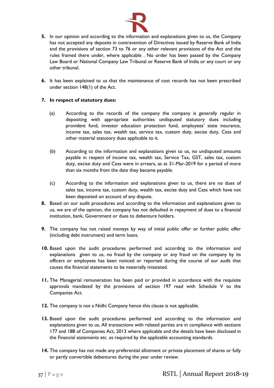![](_page_37_Picture_0.jpeg)

- **5.** In our opinion and according to the information and explanations given to us, the Company has not accepted any deposits in contravention of Directives issued by Reserve Bank of India and the provisions of section 73 to 76 or any other relevant provisions of the Act and the rules framed there under, where applicable . No order has been passed by the Company Law Board or National Company Law Tribunal or Reserve Bank of India or any court or any other tribunal.
- **6.** It has been explained to us that the maintenance of cost records has not been prescribed under section 148(1) of the Act.

# **7. In respect of statutory dues:**

- (a) According to the records of the company the company is generally regular in depositing with appropriate authorities undisputed statutory dues including provident fund, investor education protection fund, employees' state insurance, income tax, sales tax, wealth tax, service tax, custom duty, excise duty, Cess and other material statutory dues applicable to it.
- (b) According to the information and explanations given to us, no undisputed amounts payable in respect of income tax, wealth tax, Service Tax, GST, sales tax, custom duty, excise duty and Cess were in arrears, as at 31-Mar-2019 for a period of more than six months from the date they became payable.
- (c) According to the information and explanations given to us, there are no dues of sales tax, income tax, custom duty, wealth tax, excise duty and Cess which have not been deposited on account of any dispute.
- **8.** Based on our audit procedures and according to the information and explanations given to us, we are of the opinion, the company has not defaulted in repayment of dues to a financial institution, bank, Government or dues to debenture holders.
- **9.** The company has not raised moneys by way of initial public offer or further public offer (including debt instrument) and term loans.
- **10.** Based upon the audit procedures performed and according to the information and explanations given to us, no fraud by the company or any fraud on the company by its officers or employees has been noticed or reported during the course of our audit that causes the financial statements to be materially misstated.
- **11.** The Managerial remuneration has been paid or provided in accordance with the requisite approvals mandated by the provisions of section 197 read with Schedule V to the Companies Act.
- **12.** The company is not a Nidhi Company hence this clause is not applicable.
- **13.** Based upon the audit procedures performed and according to the information and explanations given to us, All transactions with related parties are in compliance with sections 177 and 188 of Companies Act, 2013 where applicable and the details have been disclosed in the Financial statements etc. as required by the applicable accounting standards.
- **14.** The company has not made any preferential allotment or private placement of shares or fully or partly convertible debentures during the year under review.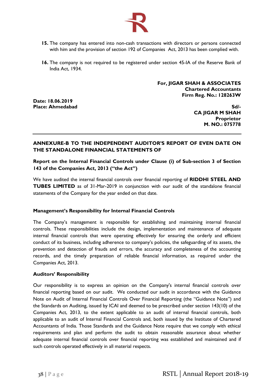![](_page_38_Picture_0.jpeg)

- **15.** The company has entered into non-cash transactions with directors or persons connected with him and the provision of section 192 of Companies Act, 2013 has been complied with.
- **16.** The company is not required to be registered under section 45-IA of the Reserve Bank of India Act, 1934.

**For, JIGAR SHAH & ASSOCIATES Chartered Accountants Firm Reg. No.: 128263W**

**Date: 18.06.2019 Place: Ahmedabad Sd/-**

**CA JIGAR M SHAH Proprietor M. NO.: 075778**

# **ANNEXURE-B TO THE INDEPENDENT AUDITOR'S REPORT OF EVEN DATE ON THE STANDALONE FINANCIAL STATEMENTS OF**

**Report on the Internal Financial Controls under Clause (i) of Sub-section 3 of Section 143 of the Companies Act, 2013 ("the Act")**

We have audited the internal financial controls over financial reporting of **RIDDHI STEEL AND TUBES LIMITED** as of 31-Mar-2019 in conjunction with our audit of the standalone financial statements of the Company for the year ended on that date.

## **Management's Responsibility for Internal Financial Controls**

The Company's management is responsible for establishing and maintaining internal financial controls. These responsibilities include the design, implementation and maintenance of adequate internal financial controls that were operating effectively for ensuring the orderly and efficient conduct of its business, including adherence to company's policies, the safeguarding of its assets, the prevention and detection of frauds and errors, the accuracy and completeness of the accounting records, and the timely preparation of reliable financial information, as required under the Companies Act, 2013.

## **Auditors' Responsibility**

Our responsibility is to express an opinion on the Company's internal financial controls over financial reporting based on our audit. We conducted our audit in accordance with the Guidance Note on Audit of Internal Financial Controls Over Financial Reporting (the "Guidance Note") and the Standards on Auditing, issued by ICAI and deemed to be prescribed under section 143(10) of the Companies Act, 2013, to the extent applicable to an audit of internal financial controls, both applicable to an audit of Internal Financial Controls and, both issued by the Institute of Chartered Accountants of India. Those Standards and the Guidance Note require that we comply with ethical requirements and plan and perform the audit to obtain reasonable assurance about whether adequate internal financial controls over financial reporting was established and maintained and if such controls operated effectively in all material respects.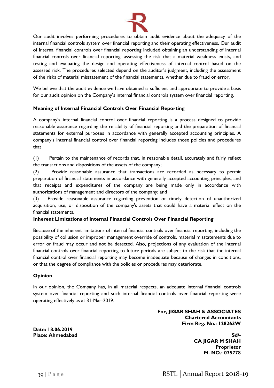![](_page_39_Picture_0.jpeg)

Our audit involves performing procedures to obtain audit evidence about the adequacy of the internal financial controls system over financial reporting and their operating effectiveness. Our audit of internal financial controls over financial reporting included obtaining an understanding of internal financial controls over financial reporting, assessing the risk that a material weakness exists, and testing and evaluating the design and operating effectiveness of internal control based on the assessed risk. The procedures selected depend on the auditor's judgment, including the assessment of the risks of material misstatement of the financial statements, whether due to fraud or error.

We believe that the audit evidence we have obtained is sufficient and appropriate to provide a basis for our audit opinion on the Company's internal financial controls system over financial reporting.

# **Meaning of Internal Financial Controls Over Financial Reporting**

A company's internal financial control over financial reporting is a process designed to provide reasonable assurance regarding the reliability of financial reporting and the preparation of financial statements for external purposes in accordance with generally accepted accounting principles. A company's internal financial control over financial reporting includes those policies and procedures that

(1) Pertain to the maintenance of records that, in reasonable detail, accurately and fairly reflect the transactions and dispositions of the assets of the company;

(2) Provide reasonable assurance that transactions are recorded as necessary to permit preparation of financial statements in accordance with generally accepted accounting principles, and that receipts and expenditures of the company are being made only in accordance with authorizations of management and directors of the company; and

(3) Provide reasonable assurance regarding prevention or timely detection of unauthorized acquisition, use, or disposition of the company's assets that could have a material effect on the financial statements.

## **Inherent Limitations of Internal Financial Controls Over Financial Reporting**

Because of the inherent limitations of internal financial controls over financial reporting, including the possibility of collusion or improper management override of controls, material misstatements due to error or fraud may occur and not be detected. Also, projections of any evaluation of the internal financial controls over financial reporting to future periods are subject to the risk that the internal financial control over financial reporting may become inadequate because of changes in conditions, or that the degree of compliance with the policies or procedures may deteriorate.

## **Opinion**

In our opinion, the Company has, in all material respects, an adequate internal financial controls system over financial reporting and such internal financial controls over financial reporting were operating effectively as at 31-Mar-2019.

> **For, JIGAR SHAH & ASSOCIATES Chartered Accountants Firm Reg. No.: 128263W**

**Date: 18.06.2019**

**Place: Ahmedabad Sd/- CA JIGAR M SHAH Proprietor M. NO.: 075778**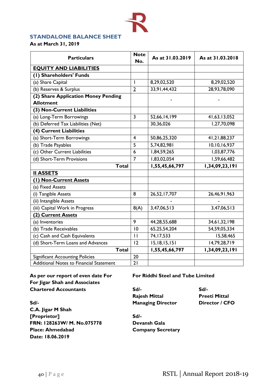# **STANDALONE BALANCE SHEET**

**As at March 31, 2019**

| <b>Particulars</b>                             | <b>Note</b><br>No.       | As at 31.03.2019 | As at 31.03.2018 |
|------------------------------------------------|--------------------------|------------------|------------------|
| <b>EQUITY AND LIABILITIES</b>                  |                          |                  |                  |
| (I) Shareholders' Funds                        |                          |                  |                  |
| (a) Share Capital                              | $\overline{\phantom{a}}$ | 8,29,02,520      | 8,29,02,520      |
| (b) Reserves & Surplus                         | $\overline{2}$           | 33,91,44,432     | 28,93,78,090     |
| (2) Share Application Money Pending            |                          |                  |                  |
| <b>Allotment</b>                               |                          |                  |                  |
| (3) Non-Current Liabilities                    |                          |                  |                  |
| (a) Long-Term Borrowings                       | $\overline{\mathbf{3}}$  | 52,66,14,199     | 41,63,13,052     |
| (b) Deferred Tax Liabilities (Net)             |                          | 30,36,026        | 1,27,70,098      |
| (4) Current Liabilities                        |                          |                  |                  |
| (a) Short-Term Borrowings                      | $\overline{4}$           | 50,86,25,320     | 41,21,88,237     |
| (b) Trade Payables                             | 5                        | 5,74,82,981      | 10,10,16,937     |
| (c) Other Current Liabilities                  | 6                        | 1,84,59,265      | 1,03,87,776      |
| (d) Short-Term Provisions                      | $\overline{7}$           | 1,83,02,054      | 1,59,66,482      |
| <b>Total</b>                                   |                          | 1,55,45,66,797   | 1,34,09,23,191   |
| <b>II ASSETS</b>                               |                          |                  |                  |
| (1) Non-Current Assets                         |                          |                  |                  |
| (a) Fixed Assets                               |                          |                  |                  |
| (i) Tangible Assets                            | 8                        | 26,52,17,707     | 26,46,91,963     |
| (ii) Intangible Assets                         |                          |                  |                  |
| (iii) Capital Work in Progress                 | 8(A)                     | 3,47,06,513      | 3,47,06,513      |
| (2) Current Assets                             |                          |                  |                  |
| (a) Inventories                                | 9                        | 44,28,55,688     | 34,61,32,198     |
| (b) Trade Receivables                          | 10                       | 65,25,54,204     | 54,59,05,334     |
| (c) Cash and Cash Equivalents                  | $\mathbf{H}$             | 74,17,533        | 15,58,465        |
| (d) Short-Term Loans and Advances              | 12                       | 15, 18, 15, 151  | 14,79,28,719     |
| <b>Total</b>                                   |                          | 1,55,45,66,797   | 1,34,09,23,191   |
| <b>Significant Accounting Policies</b>         | 20                       |                  |                  |
| <b>Additional Notes to Financial Statement</b> | $\overline{21}$          |                  |                  |

**For Jigar Shah and Associates Chartered Accountants Sd/- Sd/-**

**As per our report of even date For For Riddhi Steel and Tube Limited**

**Rajesh Mittal Preeti Mittal Sd/- Managing Director Director / CFO**

**C.A. Jigar M Shah [Proprietor] Sd/- FRN: 128263W/ M. No.075778 Devansh Gala Place: Ahmedabad Company Secretary Date: 18.06.2019**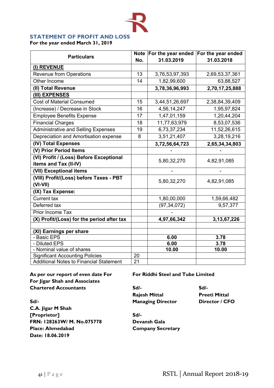# **STATEMENT OF PROFIT AND LOSS**

**For the year ended March 31, 2019**

| <b>Particulars</b>                             | <b>Note</b><br>No. | For the year ended<br>31.03.2019 | For the year ended<br>31.03.2018 |
|------------------------------------------------|--------------------|----------------------------------|----------------------------------|
| (I) REVENUE                                    |                    |                                  |                                  |
| <b>Revenue from Operations</b>                 | 13                 | 3,76,53,97,393                   | 2,69,53,37,361                   |
| Other Income                                   | 14                 | 1,82,99,600                      | 63,88,527                        |
| (II) Total Revenue                             |                    | 3,78,36,96,993                   | 2,70,17,25,888                   |
| (III) EXPENSES                                 |                    |                                  |                                  |
| Cost of Material Consumed                      | 15                 | 3,44,51,26,697                   | 2,38,84,39,409                   |
| (Increase) / Decrease in Stock                 | 16                 | 4,56,14,247                      | 1,95,97,824                      |
| <b>Employee Benefits Expense</b>               | 17                 | 1,47,01,159                      | 1,20,44,204                      |
| <b>Financial Charges</b>                       | 18                 | 11,77,63,979                     | 8,53,07,536                      |
| <b>Administrative and Selling Expenses</b>     | 19                 | 6,73,37,234                      | 11,52,26,615                     |
| Depreciation and Amortisation expense          | 8                  | 3,51,21,407                      | 3,28,19,216                      |
| (IV) Total Expenses                            |                    | 3,72,56,64,723                   | 2,65,34,34,803                   |
| (V) Prior Period Items                         |                    |                                  |                                  |
| (VI) Profit / (Loss) Before Exceptional        |                    | 5,80,32,270                      | 4,82,91,085                      |
| items and Tax (II-IV)                          |                    |                                  |                                  |
| (VII) Exceptional items                        |                    |                                  |                                  |
| (VIII) Profit/(Loss) before Taxes - PBT        |                    | 5,80,32,270                      | 4,82,91,085                      |
| $(VI-VII)$                                     |                    |                                  |                                  |
| (IX) Tax Expense:                              |                    |                                  |                                  |
| Current tax                                    |                    | 1,80,00,000                      | 1,59,66,482                      |
| Deferred tax                                   |                    | (97, 34, 072)                    | 9,57,377                         |
| Prior Income Tax                               |                    |                                  |                                  |
| (X) Profit/(Loss) for the period after tax     |                    | 4,97,66,342                      | 3, 13, 67, 226                   |
|                                                |                    |                                  |                                  |
| (XI) Earnings per share<br>- Basic EPS         |                    | 6.00                             | 3.78                             |
| - Diluted EPS                                  |                    | 6.00                             | 3.78                             |
| - Nominal value of shares                      |                    | 10.00                            | 10.00                            |
| <b>Significant Accounting Policies</b>         | 20                 |                                  |                                  |
| <b>Additional Notes to Financial Statement</b> | $\overline{21}$    |                                  |                                  |

**For Jigar Shah and Associates Chartered Accountants Sd/- Sd/-**

**As per our report of even date For For Riddhi Steel and Tube Limited**

**Rajesh Mittal Preeti Mittal**

**Sd/- Managing Director Director / CFO C.A. Jigar M Shah [Proprietor] Sd/- FRN: 128263W/ M. No.075778 Devansh Gala Place: Ahmedabad Company Secretary Date: 18.06.2019**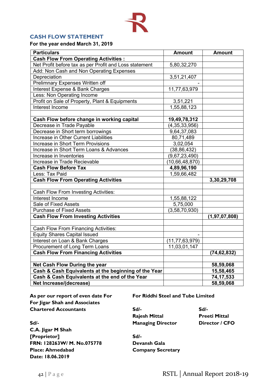# **CASH FLOW STATEMENT**

**For the year ended March 31, 2019**

| <b>Particulars</b>                                     | <b>Amount</b>     | <b>Amount</b>    |
|--------------------------------------------------------|-------------------|------------------|
| <b>Cash Flow From Operating Activities:</b>            |                   |                  |
| Net Profit before tax as per Profit and Loss statement | 5,80,32,270       |                  |
| Add: Non Cash and Non Operating Expenses               |                   |                  |
| Depreciation                                           | 3,51,21,407       |                  |
| Prelimnary Expenses Written off                        |                   |                  |
| Interest Expense & Bank Charges                        | 11,77,63,979      |                  |
| Less: Non Operating Income                             |                   |                  |
| Profit on Sale of Property, Plant & Equipments         | 3,51,221          |                  |
| Interest Income                                        | 1,55,88,123       |                  |
|                                                        |                   |                  |
| Cash Flow before change in working capital             | 19,49,78,312      |                  |
| Decrease in Trade Payable                              | (4, 35, 33, 956)  |                  |
| Decrease in Short term borrowings                      | 9,64,37,083       |                  |
| Increase in Other Current Liabilities                  | 80,71,489         |                  |
| Increase in Short Term Provisions                      | 3,02,054          |                  |
| Increase in Short Term Loans & Advances                | (38, 86, 432)     |                  |
| Increase in Inventories                                | (9,67,23,490)     |                  |
| Increase in Trade Recievable                           | (10,66,48,870)    |                  |
| <b>Cash Flow Before Tax</b>                            | 4,89,96,190       |                  |
| Less: Tax Paid                                         | 1,59,66,482       |                  |
| <b>Cash Flow From Operating Activities</b>             |                   | 3,30,29,708      |
|                                                        |                   |                  |
| Cash Flow From Investing Activities:                   |                   |                  |
| Interest Income                                        | 1,55,88,122       |                  |
| Sale of Fixed Assets                                   | 5,75,000          |                  |
| <b>Purchase of Fixed Assets</b>                        | (3,58,70,930)     |                  |
| <b>Cash Flow From Investing Activities</b>             |                   | (1, 97, 07, 808) |
|                                                        |                   |                  |
| Cash Flow From Financing Activities:                   |                   |                  |
| <b>Equity Shares Capital Issued</b>                    |                   |                  |
| Interest on Loan & Bank Charges                        | (11, 77, 63, 979) |                  |
| Procurement of Long Term Loans                         | 11,03,01,147      |                  |
| <b>Cash Flow From Financing Activities</b>             |                   | (74, 62, 832)    |
|                                                        |                   |                  |
| Net Cash Flow During the year                          |                   | 58,59,068        |
| Cash & Cash Equivalents at the beginning of the Year   |                   | 15,58,465        |
| Cash & Cash Equivalents at the end of the Year         |                   | 74, 17, 533      |
| Net Increase/(decrease)                                |                   | 58,59,068        |

**As per our report of even date For For Riddhi Steel and Tube Limited For Jigar Shah and Associates Chartered Accountants Sd/- Sd/-**

**Sd/- Managing Director Director / CFO C.A. Jigar M Shah [Proprietor] Sd/- FRN: 128263W/ M. No.075778 Devansh Gala Place: Ahmedabad Company Secretary Date: 18.06.2019**

**Rajesh Mittal Preeti Mittal**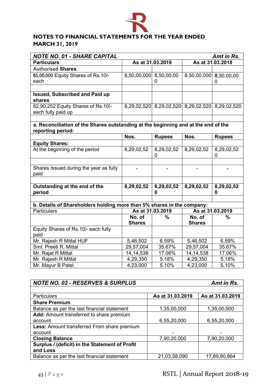![](_page_43_Picture_0.jpeg)

# **NOTES TO FINANCIAL STATEMENTS FOR THE YEAR ENDED MARCH 31, 2019**

| <b>NOTE NO. 01 - SHARE CAPITAL</b><br>Amt in Rs.                                   |                                      |                                                 |                        |                  |  |
|------------------------------------------------------------------------------------|--------------------------------------|-------------------------------------------------|------------------------|------------------|--|
| <b>Particulars</b>                                                                 | As at 31.03.2018<br>As at 31.03.2019 |                                                 |                        |                  |  |
| <b>Authorised Shares</b>                                                           |                                      |                                                 |                        |                  |  |
| 85,00,000 Equity Shares of Rs.10/-                                                 | 8,50,00,000 8,50,00,00               |                                                 | 8,50,00,000 8,50,00,00 |                  |  |
| each                                                                               |                                      | 0                                               |                        | 0                |  |
|                                                                                    |                                      |                                                 |                        |                  |  |
| <b>Issued, Subscribed and Paid up</b>                                              |                                      |                                                 |                        |                  |  |
| shares                                                                             |                                      |                                                 |                        |                  |  |
| 82,90,252 Equity Shares of Rs.10/-                                                 |                                      | 8,29,02,520 8,29,02,520 8,29,02,520 8,29,02,520 |                        |                  |  |
| each fully paid up                                                                 |                                      |                                                 |                        |                  |  |
|                                                                                    |                                      |                                                 |                        |                  |  |
| a. Reconciliation of the Shares outstanding at the beginning and at the end of the |                                      |                                                 |                        |                  |  |
| reporting period:                                                                  |                                      |                                                 |                        |                  |  |
|                                                                                    | Nos.                                 | <b>Rupees</b>                                   | Nos.                   | <b>Rupees</b>    |  |
| <b>Equity Shares:</b>                                                              |                                      |                                                 |                        |                  |  |
| At the beginning of the period                                                     | 8,29,02,52                           | 8,29,02,52                                      | 8,29,02,52             | 8,29,02,52       |  |
|                                                                                    |                                      | 0                                               |                        | 0                |  |
|                                                                                    |                                      |                                                 |                        |                  |  |
| Shares Issued during the year as fully                                             |                                      |                                                 |                        |                  |  |
| paid                                                                               |                                      |                                                 |                        |                  |  |
| Outstanding at the end of the                                                      | 8,29,02,52                           | 8,29,02,52                                      | 8,29,02,52             | 8,29,02,52       |  |
| period                                                                             |                                      | 0                                               |                        | 0                |  |
|                                                                                    |                                      |                                                 |                        |                  |  |
| b. Details of Shareholders holding more than 5% shares in the company:             |                                      |                                                 |                        |                  |  |
| <b>Particulars</b>                                                                 | As at 31.03.2019                     |                                                 |                        | As at 31.03.2019 |  |
|                                                                                    | No. of                               | %                                               | No. of                 | $\%$             |  |
|                                                                                    | <b>Shares</b>                        |                                                 | <b>Shares</b>          |                  |  |
| Equity Shares of Rs.10/- each fully                                                |                                      |                                                 |                        |                  |  |
| paid                                                                               |                                      |                                                 |                        |                  |  |
| Mr. Rajesh R Mittal HUF                                                            | 5,46,502                             | 6.59%                                           | 5,46,502               | 6.59%            |  |
| Smt. Preeti R. Mittal                                                              | 29,57,004                            | 35.67%                                          | 29,57,004              | 35.67%           |  |
| Mr. Rajat R Mittal                                                                 | 14, 14, 538                          | 17.06%                                          | 14, 14, 538            | 17.06%           |  |
| Mr. Rajesh R Mittal                                                                | 4,29,350                             | 5.18%                                           | 4,29,350               | 5.18%            |  |
| Mr. Mayur B Patel                                                                  | 4,23,000                             | 5.10%                                           | 4,23,000               | 5.10%            |  |

| <b>NOTE NO. 02 - RESERVES &amp; SURPLUS</b>    |                  | Amt in Rs.       |
|------------------------------------------------|------------------|------------------|
|                                                |                  |                  |
| <b>Particulars</b>                             | As at 31.03.2019 | As at 31.03.2019 |
| <b>Share Premium</b>                           |                  |                  |
| Balance as per the last financial statement    | 1,35,00,000      | 1,35,00,000      |
| Add: Amount transferred to share premium       |                  |                  |
| account                                        | 6,55,20,000      | 6,55,20,000      |
| Less: Amount transferred From share premium    |                  |                  |
| account                                        |                  |                  |
| <b>Closing Balance</b>                         | 7,90,20,000      | 7,90,20,000      |
| Surplus / (deficit) in the Statement of Profit |                  |                  |
| and Loss                                       |                  |                  |
| Balance as per the last financial statement    | 21,03,58,090     | 17,89,90,864     |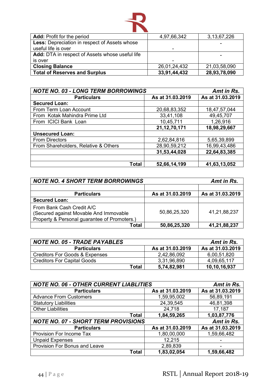![](_page_44_Picture_0.jpeg)

| <b>Add:</b> Profit for the period                    | 4,97,66,342  | 3, 13, 67, 226 |
|------------------------------------------------------|--------------|----------------|
| <b>Less:</b> Depreciation in respect of Assets whose |              |                |
| useful life is over                                  |              |                |
| Add: DTA in respect of Assets whose useful life      |              |                |
| is over                                              |              |                |
| <b>Closing Balance</b>                               | 26,01,24,432 | 21,03,58,090   |
| <b>Total of Reserves and Surplus</b>                 | 33,91,44,432 | 28,93,78,090   |

| <b>NOTE NO. 03 - LONG TERM BORROWINGS</b> |                  | Amt in Rs.       |
|-------------------------------------------|------------------|------------------|
| <b>Particulars</b>                        | As at 31.03.2019 | As at 31.03.2019 |
| <b>Secured Loan:</b>                      |                  |                  |
| From Term Loan Account                    | 20,68,83,352     | 18,47,57,044     |
| From Kotak Mahindra Prime Ltd             | 33,41,108        | 49,45,707        |
| From ICICI Bank Loan                      | 10,45,711        | 1,26,916         |
|                                           | 21, 12, 70, 171  | 18,98,29,667     |
| <b>Unsecured Loan:</b>                    |                  |                  |
| <b>From Directors</b>                     | 2,62,84,816      | 5,65,39,899      |
| From Shareholders, Relative & Others      | 28,90,59,212     | 16,99,43,486     |
|                                           | 31,53,44,028     | 22,64,83,385     |
| <b>Total</b>                              | 52,66,14,199     | 41,63,13,052     |

| <b>NOTE NO. 4 SHORT TERM BORROWINGS</b>                                                                             |                  | Amt in Rs.       |
|---------------------------------------------------------------------------------------------------------------------|------------------|------------------|
|                                                                                                                     |                  |                  |
| <b>Particulars</b>                                                                                                  | As at 31.03.2019 | As at 31.03.2019 |
| <b>Secured Loan:</b>                                                                                                |                  |                  |
| From Bank Cash Credit A/C<br>(Secured against Movable And Immovable<br>Property & Personal guarantee of Promoters.) | 50,86,25,320     | 41,21,88,237     |
| <b>Total</b>                                                                                                        | 50,86,25,320     | 41,21,88,237     |

| <b>NOTE NO. 05 - TRADE PAYABLES</b>       |                  | Amt in Rs.       |
|-------------------------------------------|------------------|------------------|
| <b>Particulars</b>                        | As at 31.03.2019 | As at 31.03.2019 |
| <b>Creditors For Goods &amp; Expenses</b> | 2,42,86,092      | 6,00,51,820      |
| <b>Creditors For Capital Goods</b>        | 3,31,96,890      | 4,09,65,117      |
| Total                                     | 5,74,82,981      | 10,10,16,937     |

| <b>NOTE NO. 06 - OTHER CURRENT LIABLITIES</b> | Amt in Rs.       |                  |
|-----------------------------------------------|------------------|------------------|
| <b>Particulars</b>                            | As at 31.03.2019 | As at 31.03.2019 |
| <b>Advance From Customers</b>                 | 1,59,95,002      | 56,89,191        |
| <b>Statutory Liabilities</b>                  | 24,39,545        | 46,81,398        |
| <b>Other Liabilities</b>                      | 24,718           | 17,187           |
| <b>Total</b>                                  | 1,84,59,265      | 1,03,87,776      |
| <b>NOTE NO. 07 - SHORT TERM PROVISIONS</b>    |                  | Amt in Rs.       |
| <b>Particulars</b>                            | As at 31.03.2019 | As at 31.03.2019 |
| Provision For Income Tax                      | 1,80,00,000      | 1,59,66,482      |
| <b>Unpaid Expenses</b>                        | 12,215           |                  |
| Provision For Bonus and Leave                 | 2,89,839         |                  |
| <b>Total</b>                                  | 1,83,02,054      | 1,59,66,482      |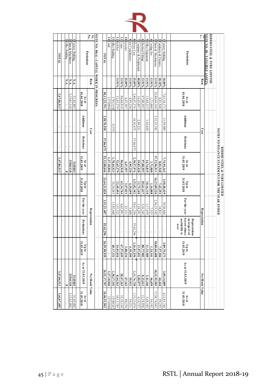| TATOT       | O ffice Building | $\overline{\mathbf{c}}$<br>Plant & Machinery | Factory Building |                                                             | No.<br>$S_{\rm E}$<br>Particulars | <b>NOTE NO. 08(A): CAPITAL WORK IN PROGRESS:</b> | <b>INTOT</b> | 14 Land     | 13 office Building | 12 Roll Set    | 11 Crane       | 10 Scooter   | $\bullet$<br>Air Conditioners | $\infty$<br>Motor Cars | Computer & Peripherials | $\bullet$<br>Electrical Fittings | U<br>O ffice Euipments | $\overline{4}$<br>Cooling Set | $\tilde{\phantom{a}}$<br>Plants & Machineries | N<br>Furnitures & Fixtures | Factory Building | Particulars                                                                | š              | <b>NOTE NO. 08 : TANGIBLE ASSETS:</b> | RIDDHI STEEL & TUBE LIMITED |                                                                              |
|-------------|------------------|----------------------------------------------|------------------|-------------------------------------------------------------|-----------------------------------|--------------------------------------------------|--------------|-------------|--------------------|----------------|----------------|--------------|-------------------------------|------------------------|-------------------------|----------------------------------|------------------------|-------------------------------|-----------------------------------------------|----------------------------|------------------|----------------------------------------------------------------------------|----------------|---------------------------------------|-----------------------------|------------------------------------------------------------------------------|
|             | N.A.             | N.A.                                         | N.A.             |                                                             | <b>Rate</b>                       |                                                  |              |             |                    | 13.91%         | 13.91%         | 25.89%       | 13.91%                        | 25.89%                 | 40.00%                  | 13.91%                           | 13.91%                 | 13.91%                        | 13.91%                                        | 18.10%                     | $10.00\%$        |                                                                            | Rate           |                                       |                             |                                                                              |
| 3,47,06,513 |                  | 3,15,61,110                                  | 31,45,403        | 01.04.2018<br>As at                                         |                                   |                                                  | 50,11,23,791 | 12710846    | 7813150            | 32,65,279      | 96,64,918      | 4,47,397     | 4,95,230                      | 2,86,07,376            | 16,83,897               | 97,00,593                        | 13,64,215              | 1,71,000                      | 33,80,64,169                                  | 8,01,548                   | 7,63,34,173      | 01.04.2018<br>As at                                                        |                |                                       |                             |                                                                              |
| ×,          | í,               | $\mathbf{r}$                                 |                  | <b>Additions</b>                                            | Cost                              |                                                  | 3,58,70,930  |             | 31373              |                |                |              |                               | 10,36,675              | 2,99,531                |                                  | 1,10,620               |                               | 3,32,32,742                                   |                            | 11,59,989        | <b>Additions</b>                                                           | Cost           |                                       |                             |                                                                              |
| í.          |                  | $\mathbf{r}$<br>í.                           |                  | Deletions                                                   |                                   |                                                  | 57,86,075    |             |                    |                |                |              |                               | 57,86,075              |                         |                                  |                        |                               |                                               |                            |                  | <b>Deletions</b>                                                           |                |                                       |                             |                                                                              |
| 3,47,06,513 |                  | 31561110<br>0                                | 3145403          | $\begin{array}{c}\n\text{As at} \\ 31.03.2019\n\end{array}$ |                                   |                                                  | 53,12,08,646 | 1,27,10,846 | 1,78,44,523        | 32,65,279      | 96,64,918      | 4,47,397     | 4,95,230                      | 2,38,57,976            | 19,83,428               | 97,00,593                        | 14,74,835              | 1,71,000                      | 37,12,96,911                                  | 8,01,548                   | 7,74,94,162      | $As at$<br>31.03.2019                                                      |                |                                       |                             |                                                                              |
|             |                  |                                              |                  | 31.03.2018<br>$q_1d_1$                                      |                                   |                                                  | 23,64,31,828 |             | 26,24,883          | 22,49,494      | 63,34,764      | 3,57,023     | 4,35,699                      | 52,82,302              | 12,73,160               | 85,61,637                        | 10,16,110              | 1,16,808                      | 16,23,89,226                                  | 7,42,293                   | 3,50,48,429      | $Up$ to $Up$ to $Up$ to                                                    |                |                                       |                             | NOTES TO FINANCE STATEMENT FOR THE YEAR ENDED<br>RIDDHI STEEL & TUBE LIMITED |
|             |                  |                                              |                  | For the year                                                |                                   |                                                  | 3,51,21,407  |             | 13,92,448          | 1,51,522       | 4,62,891       | 23,211       | 3,600                         | 29,61,250              | 1,24,291                | 3,16,345                         | 1,17,479               | 7,533                         | 2,56,15,182                                   | 14,811                     | 39,30,844        | For the year                                                               |                |                                       |                             |                                                                              |
|             |                  |                                              |                  | Deductions                                                  | <b>Depreciation</b>               |                                                  | 55,62,296    |             |                    | $\blacksquare$ | $\blacksquare$ | $\mathbf{r}$ |                               | 55,62,296              |                         | $\mathbf{r}$                     | $\bar{\phantom{a}}$    | $\bar{1}$                     | $\bar{r}$                                     | ï                          | $\blacksquare$   | Assets whose<br>useful life is<br>Depreciation<br>in respect of<br>$0$ ver | Depreciation   |                                       |                             |                                                                              |
|             |                  |                                              |                  | 31.03.2019<br>$q_1 d_0$                                     |                                   |                                                  | 26,59,90,939 |             | 40,17,331          | 24,01,016      | 67,97,655      | 3,80,234     | 4,39,299                      | 1,26,81,256            | 13,97,451               | 88,77,982                        | 11,33,589              | 1,24,341                      | 18,80,04,408                                  | 7,57,104                   | 3,89,79,273      | $\begin{array}{c} \text{Up to} \\ \text{31.03.2019} \end{array}$           |                |                                       |                             |                                                                              |
| 3,47,06,513 |                  | 31561110<br>5                                | 3145403          | As at 31.03.2019                                            | Net Book Value                    |                                                  | 26,52,17,707 | 1,27,10,846 | 1,38,27,192        | 8,64,263       | 28,67,263      | 67,163       | 55,931                        | 1,11,76,720            | 5,85,977                | 8,22,611                         | 3,41,246               | 46,659                        | 18,32,92,503                                  | 44,444                     | 3,85,14,889      | As at 31.03.2019                                                           | Net Book Value |                                       |                             |                                                                              |
| 3,44,07,405 |                  | .12.62.002                                   | 31,45,403        | $\begin{array}{c}\n\text{As at} \\ 31.03.2018\n\end{array}$ |                                   |                                                  | 26,46,91,963 | 12710846    | 15188267           | 0,15,785       | 33,30,154      | 90,374       | 59,531                        | .33,25,074             | 4,10,737                | 1,38,956                         | 3,48,105               | 54,192                        | 17,56,74,943                                  | 59,255                     | 4,12,85,744      | As at 31.03.2018                                                           |                |                                       |                             |                                                                              |
|             |                  |                                              |                  |                                                             |                                   |                                                  |              |             |                    |                |                |              |                               |                        |                         |                                  |                        |                               |                                               |                            |                  |                                                                            |                |                                       |                             |                                                                              |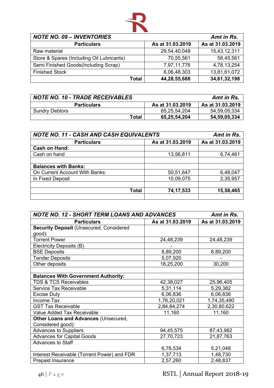![](_page_46_Picture_0.jpeg)

| <b>NOTE NO. 09 - INVENTORIES</b>          |                  | Amt in Rs.       |
|-------------------------------------------|------------------|------------------|
| <b>Particulars</b>                        | As at 31.03.2019 | As at 31.03.2019 |
| Raw material                              | 29,54,40,048     | 15,43,12,311     |
| Store & Spares (Including Oil Lubricants) | 70,55,561        | 58,45,561        |
| Semi Finished Goods(Including Scrap)      | 7,97,11,776      | 4,78,13,254      |
| <b>Finished Stock</b>                     | 6,06,48,303      | 13,81,61,072     |
| <b>Total</b>                              | 44,28,55,688     | 34,61,32,198     |

| <b>NOTE NO. 10 - TRADE RECEIVABLES</b> |                  | Amt in Rs.       |
|----------------------------------------|------------------|------------------|
| <b>Particulars</b>                     | As at 31.03.2019 | As at 31.03.2019 |
| <b>Sundry Debtors</b>                  | 65,25,54,204     | 54,59,05,334     |
| Total                                  | 65,25,54,204     | 54,59,05,334     |

| <b>NOTE NO. 11 - CASH AND CASH EQUIVALENTS</b> | Amt in Rs.       |                  |  |
|------------------------------------------------|------------------|------------------|--|
| <b>Particulars</b>                             | As at 31.03.2019 | As at 31.03.2019 |  |
| <b>Cash on Hand:</b>                           |                  |                  |  |
| Cash on hand                                   | 13,56,811        | 6,74,461         |  |
|                                                |                  |                  |  |
| <b>Balances with Banks:</b>                    |                  |                  |  |
| On Current Account With Banks:                 | 50,51,647        | 6,48,047         |  |
| In Fixed Deposit                               | 10,09,075        | 2,35,957         |  |
|                                                |                  |                  |  |
| <b>Total</b>                                   | 74, 17, 533      | 15,58,465        |  |
|                                                |                  |                  |  |

| <b>NOTE NO. 12 - SHORT TERM LOANS AND ADVANCES</b> | Amt in Rs.       |                  |
|----------------------------------------------------|------------------|------------------|
| <b>Particulars</b>                                 | As at 31.03.2019 | As at 31.03.2019 |
| <b>Security Deposit (Unsecured, Considered</b>     |                  |                  |
| good):                                             |                  |                  |
| <b>Torrent Power</b>                               | 24,48,239        | 24,48,239        |
| Electricity Deposits (B)                           |                  |                  |
| <b>BSE Deposits</b>                                | 8,89,200         | 8,89,200         |
| <b>Tender Deposits</b>                             | 5,07,920         |                  |
| Other deposits                                     | 18,25,200        | 30,200           |
|                                                    |                  |                  |
| <b>Balances With Government Authority:</b>         |                  |                  |
| <b>TDS &amp; TCS Receivables</b>                   | 42,38,027        | 25,96,405        |
| Service Tax Receivable                             | 5,31,114         | 5,29,382         |
| <b>Excise Duty</b>                                 | 6,06,836         | 6,06,836         |
| Income Tax                                         | 1,76,20,021      | 1,74,35,490      |
| <b>GST Tax Receivable</b>                          | 2,84,84,274      | 2,30,80,622      |
| <b>Value Added Tax Receivable</b>                  | 11,160           | 11,160           |
| <b>Other Loans and Advances (Unsecured,</b>        |                  |                  |
| Considered good):                                  |                  |                  |
| <b>Advances to Suppliers</b>                       | 94,45,575        | 87,43,982        |
| <b>Advances for Capital Goods</b>                  | 27,70,723        | 21,87,763        |
| <b>Advances to Staff</b>                           |                  |                  |
|                                                    | 6,78,534         | 5,21,048         |
| Interest Receivable (Torrent Power) and FDR        | 1,37,713         | 1,48,730         |
| Prepaid Insurance                                  | 2,57,260         | 2,48,837         |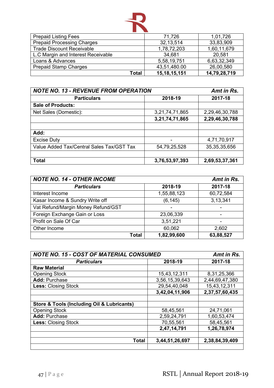![](_page_47_Picture_0.jpeg)

| <b>Prepaid Listing Fees</b>        | 71,726          | 1,01,726     |
|------------------------------------|-----------------|--------------|
| <b>Prepaid Processing Charges</b>  | 32, 13, 514     | 33,83,909    |
| <b>Trade Discount Receivable</b>   | 1,78,72,203     | 1,60,11,679  |
| L.C Margin and Interest Receivable | 34,681          | 20,581       |
| Loans & Advances                   | 5,58,19,751     | 6,63,32,349  |
| <b>Prepaid Stamp Charges</b>       | 43,51,480.00    | 26,00,580    |
| Total                              | 15, 18, 15, 151 | 14,79,28,719 |

| <b>NOTE NO. 13 - REVENUE FROM OPERATION</b> | Amt in Rs.     |                 |  |  |
|---------------------------------------------|----------------|-----------------|--|--|
| <b>Particulars</b>                          | 2018-19        | 2017-18         |  |  |
| <b>Sale of Products:</b>                    |                |                 |  |  |
| Net Sales (Domestic):                       | 3,21,74,71,865 | 2,29,46,30,788  |  |  |
|                                             | 3,21,74,71,865 | 2,29,46,30,788  |  |  |
|                                             |                |                 |  |  |
| Add:                                        |                |                 |  |  |
| <b>Excise Duty</b>                          |                | 4,71,70,917     |  |  |
| Value Added Tax/Central Sales Tax/GST Tax   | 54,79,25,528   | 35, 35, 35, 656 |  |  |
|                                             |                |                 |  |  |
| <b>Total</b>                                | 3,76,53,97,393 | 2,69,53,37,361  |  |  |

| <b>NOTE NO. 14 - OTHER INCOME</b>  | Amt in Rs.  |           |  |  |  |
|------------------------------------|-------------|-----------|--|--|--|
| <b>Particulars</b>                 | 2018-19     | 2017-18   |  |  |  |
| Interest Income                    | 1,55,88,123 | 60,72,584 |  |  |  |
| Kasar Income & Sundry Write off    | (6, 145)    | 3,13,341  |  |  |  |
| Vat Refund/Margin Money Refund/GST | ۰           |           |  |  |  |
| Foreign Exchange Gain or Loss      | 23,06,339   |           |  |  |  |
| Profit on Sale Of Car              | 3,51,221    |           |  |  |  |
| Other Income                       | 60,062      | 2,602     |  |  |  |
| <b>Total</b>                       | 1,82,99,600 | 63,88,527 |  |  |  |

| <b>NOTE NO. 15 - COST OF MATERIAL CONSUMED</b>            | Amt in Rs.     |                |  |  |
|-----------------------------------------------------------|----------------|----------------|--|--|
| <b>Particulars</b>                                        | 2018-19        | 2017-18        |  |  |
| <b>Raw Material</b>                                       |                |                |  |  |
| <b>Opening Stock</b>                                      | 15,43,12,311   | 8,31,25,366    |  |  |
| <b>Add: Purchase</b>                                      | 3,56,15,39,643 | 2,44,69,47,380 |  |  |
| <b>Less: Closing Stock</b>                                | 29,54,40,048   | 15,43,12,311   |  |  |
|                                                           | 3,42,04,11,906 | 2,37,57,60,435 |  |  |
|                                                           |                |                |  |  |
| <b>Store &amp; Tools (Including Oil &amp; Lubricants)</b> |                |                |  |  |
| <b>Opening Stock</b>                                      | 58,45,561      | 24,71,061      |  |  |
| <b>Add: Purchase</b>                                      | 2,59,24,791    | 1,60,53,474    |  |  |
| <b>Less: Closing Stock</b>                                | 70,55,561      | 58,45,561      |  |  |
|                                                           | 2,47,14,791    | 1,26,78,974    |  |  |
|                                                           |                |                |  |  |
| <b>Total</b>                                              | 3,44,51,26,697 | 2,38,84,39,409 |  |  |
|                                                           |                |                |  |  |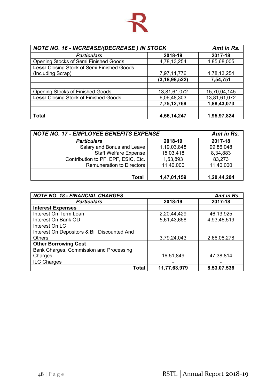![](_page_48_Picture_0.jpeg)

| NOTE NO. 16 - INCREASE/(DECREASE) IN STOCK   | Amt in Rs.       |              |  |
|----------------------------------------------|------------------|--------------|--|
| <b>Particulars</b>                           | 2018-19          | 2017-18      |  |
| <b>Opening Stocks of Semi Finished Goods</b> | 4,78,13,254      | 4,85,68,005  |  |
| Less: Closing Stock of Semi Finished Goods   |                  |              |  |
| (Including Scrap)                            | 7,97,11,776      | 4,78,13,254  |  |
|                                              | (3, 18, 98, 522) | 7,54,751     |  |
|                                              |                  |              |  |
| <b>Opening Stocks of Finished Goods</b>      | 13,81,61,072     | 15,70,04,145 |  |
| Less: Closing Stock of Finished Goods        | 6,06,48,303      | 13,81,61,072 |  |
|                                              | 7,75,12,769      | 1,88,43,073  |  |
| <b>Total</b>                                 | 4,56,14,247      | 1,95,97,824  |  |

| <b>NOTE NO. 17 - EMPLOYEE BENEFITS EXPENSE</b> |             | Amt in Rs.  |
|------------------------------------------------|-------------|-------------|
| <b>Particulars</b>                             | 2018-19     | 2017-18     |
| Salary and Bonus and Leave                     | 1,19,03,848 | 99,86,048   |
| <b>Staff Welfare Expense</b>                   | 15,03,418   | 8,34,883    |
| Contribution to PF, EPF, ESIC, Etc.            | 1,53,893    | 83,273      |
| <b>Remuneration to Directors</b>               | 11,40,000   | 11,40,000   |
|                                                |             |             |
| Total                                          | 1,47,01,159 | 1,20,44,204 |

| <b>NOTE NO. 18 - FINANCIAL CHARGES</b>       |              | Amt in Rs.  |
|----------------------------------------------|--------------|-------------|
| <b>Particulars</b>                           | 2018-19      | 2017-18     |
| <b>Interest Expenses</b>                     |              |             |
| Interest On Term Loan                        | 2,20,44,429  | 46, 13, 925 |
| Interest On Bank OD                          | 5,61,43,658  | 4,93,46,519 |
| Interest On LC                               |              |             |
| Interest On Depositors & Bill Discounted And |              |             |
| <b>Others</b>                                | 3,79,24,043  | 2,66,08,278 |
| <b>Other Borrowing Cost</b>                  |              |             |
| Bank Charges, Commission and Processing      |              |             |
| Charges                                      | 16,51,849    | 47,38,814   |
| ILC Charges                                  |              |             |
| <b>Total</b>                                 | 11,77,63,979 | 8,53,07,536 |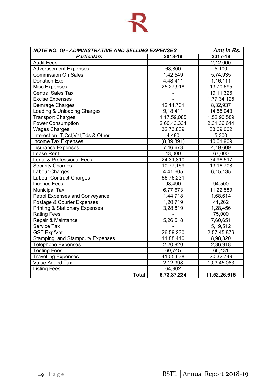# 卡

| <b>NOTE NO. 19 - ADMINISTRATIVE AND SELLING EXPENSES</b> |             | Amt in Rs.   |
|----------------------------------------------------------|-------------|--------------|
| <b>Particulars</b>                                       | 2018-19     | 2017-18      |
| <b>Audit Fees</b>                                        |             | 2,12,000     |
| <b>Advertisement Expenses</b>                            | 68,800      | 5,100        |
| <b>Commission On Sales</b>                               | 1,42,549    | 5,74,935     |
| <b>Donation Exp</b>                                      | 4,48,411    | 1,16,111     |
| Misc.Expenses                                            | 25,27,918   | 13,70,695    |
| Central Sales Tax                                        |             | 19,11,326    |
| <b>Excise Expenses</b>                                   |             | 1,77,34,125  |
| Demrage Charges                                          | 12, 14, 701 | 8,32,937     |
| Loading & Unloading Charges                              | 9,18,411    | 14,55,043    |
| <b>Transport Charges</b>                                 | 1,17,59,085 | 1,52,90,589  |
| <b>Power Consumption</b>                                 | 2,60,43,334 | 2,31,36,614  |
| <b>Wages Charges</b>                                     | 32,73,839   | 33,69,002    |
| Interest on IT, Cst, Vat, Tds & Other                    | 4,480       | 5,300        |
| Income Tax Expenses                                      | (8,89,891)  | 10,61,909    |
| <b>Insurance Expenses</b>                                | 7,46,673    | 4,19,609     |
| Lease Rent                                               | 43,000      | 67,000       |
| Legal & Professional Fees                                | 24,31,810   | 34,96,517    |
| <b>Security Charges</b>                                  | 10,77,169   | 13, 16, 708  |
| Labour Charges                                           | 4,41,605    | 6, 15, 135   |
| <b>Labour Contract Charges</b>                           | 66,76,231   |              |
| <b>Licence Fees</b>                                      | 98,490      | 94,500       |
| <b>Municipal Tax</b>                                     | 6,77,673    | 11,22,589    |
| <b>Petrol Expenses and Conveyance</b>                    | 1,44,718    | 1,68,614     |
| Postage & Courier Expenses                               | 1,20,719    | 41,262       |
| <b>Printing &amp; Stationary Expenses</b>                | 3,28,819    | 1,28,456     |
| <b>Rating Fees</b>                                       |             | 75,000       |
| Repair & Maintance                                       | 5,26,518    | 7,60,651     |
| <b>Service Tax</b>                                       |             | 5,19,512     |
| <b>GST Exp/Vat</b>                                       | 26,59,230   | 2,57,45,876  |
| <b>Stamping and Stampduty Expenses</b>                   | 11,88,440   | 8,98,320     |
| <b>Telephone Expenses</b>                                | 2,20,820    | 2,36,918     |
| <b>Testing Fees</b>                                      | 60,745      | 66,431       |
| <b>Travelling Expenses</b>                               | 41,05,638   | 20,32,749    |
| Value Added Tax                                          | 2,12,398    | 1,03,45,083  |
| <b>Listing Fees</b>                                      | 64,902      |              |
| <b>Total</b>                                             | 6,73,37,234 | 11,52,26,615 |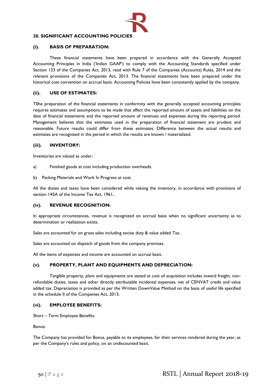![](_page_50_Picture_0.jpeg)

# **20. SIGNIFICANT ACCOUNTING POLICIES**

## **(i). BASIS OF PREPARATION:**

These financial statements have been prepared in accordance with the Generally Accepted Accounting Principles in India ('Indian GAAP') to comply with the Accounting Standards specified under Section 133 of the Companies Act, 2013, read with Rule 7 of the Companies (Accounts) Rules, 2014 and the relevant provisions of the Companies Act, 2013. The financial statements have been prepared under the historical cost convention on accrual basis. Accounting Policies have been consistently applied by the company.

### **(ii). USE OF ESTIMATES:**

T0he preparation of the financial statements in conformity with the generally accepted accounting principles requires estimates and assumptions to be made that affect the reported amount of assets and liabilities on the date of financial statements and the reported amount of revenues and expenses during the reporting period. Management believes that the estimates used in the preparation of financial statement are prudent and reasonable. Future results could differ from these estimates. Difference between the actual results and estimates are recognized in the period in which the results are known / materialized.

#### **(iii). INVENTORY:**

Inventories are valued as under;

- a) Finished goods at cost including production overheads.
- b) Packing Materials and Work In Progress at cost.

All the duties and taxes have been considered while valuing the inventory, in accordance with provisions of section 145A of the Income Tax Act, 1961**.** 

#### **(iv). REVENUE RECOGNITION:**

In appropriate circumstances, revenue is recognized on accrual basis when no significant uncertainty as to determination or realization exists.

Sales are accounted for on gross sales including excise duty & value added Tax.

Sales are accounted on dispatch of goods from the company premises.

All the items of expenses and income are accounted on accrual basis.

## **(v). PROPERTY, PLANT AND EQUIPMENTS AND DEPRECIATION:**

Tangible property, plant and equipments are stated at cost of acquisition includes inward freight, nonrefundable duties, taxes and other directly attributable incidental expenses, net of CENVAT credit and value added tax. Depreciation is provided as per the Written DownValue Method on the basis of useful life specified in the schedule II of the Companies Act, 2013.

#### **(vi). EMPLOYEE BENEFITS:**

Short – Term Employee Benefits:

Bonus:

The Company has provided for Bonus, payable to its employees, for their services rendered during the year, as per the Company's rules and policy, on an undiscounted basis.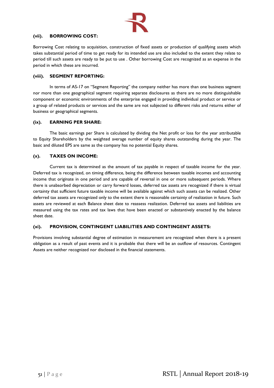![](_page_51_Picture_0.jpeg)

## **(vii). BORROWING COST:**

Borrowing Cost relating to acquisition, construction of fixed assets or production of qualifying assets which takes substantial period of time to get ready for its intended use are also included to the extent they relate to period till such assets are ready to be put to use . Other borrowing Cost are recognized as an expense in the period in which these are incurred.

## **(viii). SEGMENT REPORTING:**

In terms of AS-17 on "Segment Reporting" the company neither has more than one business segment nor more than one geographical segment requiring separate disclosures as there are no more distinguishable component or economic environments of the enterprise engaged in providing individual product or service or a group of related products or services and the same are not subjected to different risks and returns either of business or geographical segments.

## **(ix). EARNING PER SHARE:**

The basic earnings per Share is calculated by dividing the Net profit or loss for the year attributable to Equity Shareholders by the weighted average number of equity shares outstanding during the year. The basic and diluted EPS are same as the company has no potential Equity shares.

## **(x). TAXES ON INCOME:**

Current tax is determined as the amount of tax payable in respect of taxable income for the year. Deferred tax is recognized, on timing difference, being the difference between taxable incomes and accounting income that originate in one period and are capable of reversal in one or more subsequent periods. Where there is unabsorbed depreciation or carry forward losses, deferred tax assets are recognized if there is virtual certainty that sufficient future taxable income will be available against which such assets can be realized. Other deferred tax assets are recognized only to the extent there is reasonable certainty of realization in future. Such assets are reviewed at each Balance sheet date to reassess realization. Deferred tax assets and liabilities are measured using the tax rates and tax laws that have been enacted or substantively enacted by the balance sheet date.

## **(xi). PROVISION, CONTINGENT LIABILITIES AND CONTINGENT ASSETS:**

Provisions involving substantial degree of estimation in measurement are recognized when there is a present obligation as a result of past events and it is probable that there will be an outflow of resources. Contingent Assets are neither recognized nor disclosed in the financial statements.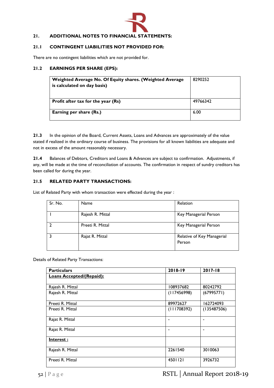![](_page_52_Picture_0.jpeg)

# **21. ADDITIONAL NOTES TO FINANCIAL STATEMENTS:**

## **21.1 CONTINGENT LIABILITIES NOT PROVIDED FOR:**

There are no contingent liabilities which are not provided for.

## **21.2 EARNINGS PER SHARE (EPS):**

| Weighted Average No. Of Equity shares. (Weighted Average<br>is calculated on day basis) | 8290252  |
|-----------------------------------------------------------------------------------------|----------|
| Profit after tax for the year (Rs)                                                      | 49766342 |
| Earning per share (Rs.)                                                                 | 6.00     |

**21.3** In the opinion of the Board, Current Assets, Loans and Advances are approximately of the value stated if realized in the ordinary course of business. The provisions for all known liabilities are adequate and not in excess of the amount reasonably necessary.

**21.4** Balances of Debtors, Creditors and Loans & Advances are subject to confirmation. Adjustments, if any, will be made at the time of reconciliation of accounts. The confirmation in respect of sundry creditors has been called for during the year.

## **21.5 RELATED PARTY TRANSACTIONS:**

List of Related Party with whom transaction were effected during the year :

| Sr. No. | Name             | Relation                             |
|---------|------------------|--------------------------------------|
|         | Rajesh R. Mittal | Key Managerial Person                |
|         | Preeti R. Mittal | Key Managerial Person                |
|         | Rajat R. Mittal  | Relative of Key Managerial<br>Person |

Details of Related Party Transactions:

| <b>Particulars</b>              | 2018-19     | 2017-18     |
|---------------------------------|-------------|-------------|
| <b>Loans Accepted/(Repaid):</b> |             |             |
|                                 |             |             |
| Rajesh R. Mittal                | 108937682   | 80242792    |
| Rajesh R. Mittal                | (117456998) | (67995771)  |
|                                 |             |             |
| Preeti R. Mittal                | 89972627    | 162724093   |
| Preeti R. Mittal                | (111708392) | (135487506) |
|                                 |             |             |
| Rajat R. Mittal                 |             |             |
|                                 |             |             |
| Rajat R. Mittal                 |             |             |
| Interest:                       |             |             |
|                                 |             |             |
| Rajesh R. Mittal                | 2261540     | 3010063     |
|                                 |             |             |
| Preeti R. Mittal                | 4501121     | 3926732     |
|                                 |             |             |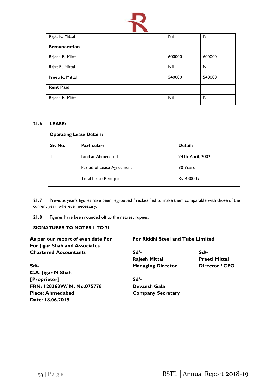![](_page_53_Picture_0.jpeg)

| Rajat R. Mittal  | Nil    | Nil    |
|------------------|--------|--------|
| Remuneration     |        |        |
| Rajesh R. Mittal | 600000 | 600000 |
| Rajat R. Mittal  | Nil    | Nil    |
| Preeti R. Mittal | 540000 | 540000 |
| <b>Rent Paid</b> |        |        |
| Rajesh R. Mittal | Nil    | Nil    |

## **21.6 LEASE:**

## **Operating Lease Details:**

| Sr. No. | <b>Particulars</b>        | <b>Details</b>   |
|---------|---------------------------|------------------|
|         | Land at Ahmedabad         | 24Th April, 2002 |
|         | Period of Lease Agreement | 30 Years         |
|         | Total Lease Rent p.a.     | Rs. 43000/-      |

**21.7** Previous year's figures have been regrouped / reclassified to make them comparable with those of the current year, wherever necessary.

**21.8** Figures have been rounded off to the nearest rupees.

# **SIGNATURES TO NOTES 1 TO 21**

| As per our report of even date For | For Riddhi Steel and Tube Limited |                      |
|------------------------------------|-----------------------------------|----------------------|
| For Jigar Shah and Associates      |                                   |                      |
| <b>Chartered Accountants</b>       | Sd/-                              | Sd/-                 |
|                                    | <b>Rajesh Mittal</b>              | <b>Preeti Mittal</b> |
| $Sd$ -                             | <b>Managing Director</b>          | Director / CFO       |
| C.A. Jigar M Shah                  |                                   |                      |
| [Proprietor]                       | $Sd$ -                            |                      |
| FRN: 128263W/ M. No.075778         | Devansh Gala                      |                      |
| <b>Place: Ahmedabad</b>            | <b>Company Secretary</b>          |                      |
| Date: 18.06.2019                   |                                   |                      |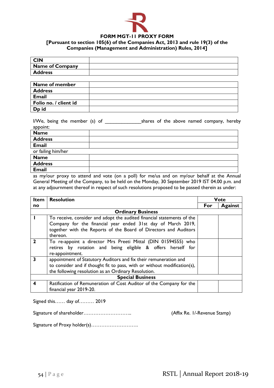![](_page_54_Picture_0.jpeg)

# **FORM MGT-11 PROXY FORM**

## **[Pursuant to section 105(6) of the Companies Act, 2013 and rule 19(3) of the Companies (Management and Administration) Rules, 2014]**

| <b>CIN</b>      |  |
|-----------------|--|
| Name of Company |  |
| <b>Address</b>  |  |

| Name of member        |  |
|-----------------------|--|
| <b>Address</b>        |  |
| <b>Email</b>          |  |
| Folio no. / client id |  |
| D <sub>p</sub> id     |  |

I/We, being the member (s) of \_\_\_\_\_\_\_\_\_\_\_\_\_shares of the above named company, hereby appoint:

| <b>Name</b>        |  |
|--------------------|--|
| <b>Address</b>     |  |
| <b>Email</b>       |  |
| or failing him/her |  |
| <b>Name</b>        |  |
| <b>Address</b>     |  |
| <b>Email</b>       |  |

as my/our proxy to attend and vote (on a poll) for me/us and on my/our behalf at the Annual General Meeting of the Company, to be held on the Monday, 30 September 2019 IST 04.00 p.m. and at any adjournment thereof in respect of such resolutions proposed to be passed therein as under:

| <b>Item</b>             | <b>Resolution</b>                                                        |     | <b>Vote</b>    |  |  |  |
|-------------------------|--------------------------------------------------------------------------|-----|----------------|--|--|--|
| no                      |                                                                          | For | <b>Against</b> |  |  |  |
|                         | <b>Ordinary Business</b>                                                 |     |                |  |  |  |
|                         | To receive, consider and adopt the audited financial statements of the   |     |                |  |  |  |
|                         | Company for the financial year ended 31st day of March 2019,             |     |                |  |  |  |
|                         | together with the Reports of the Board of Directors and Auditors         |     |                |  |  |  |
|                         | thereon.                                                                 |     |                |  |  |  |
|                         | To re-appoint a director Mrs Preeti Mittal (DIN 01594555) who            |     |                |  |  |  |
|                         | retires by rotation and being eligible & offers herself for              |     |                |  |  |  |
|                         | re-appointment.                                                          |     |                |  |  |  |
| 3                       | appointment of Statutory Auditors and fix their remuneration and         |     |                |  |  |  |
|                         | to consider and if thought fit to pass, with or without modification(s), |     |                |  |  |  |
|                         | the following resolution as an Ordinary Resolution.                      |     |                |  |  |  |
| <b>Special Business</b> |                                                                          |     |                |  |  |  |
| 4                       | Ratification of Remuneration of Cost Auditor of the Company for the      |     |                |  |  |  |
|                         | financial year 2019-20.                                                  |     |                |  |  |  |

Signed this…… day of……… 2019

Signature of shareholder……………………….. (Affix Re. 1/-Revenue Stamp)

Signature of Proxy holder(s)……………………….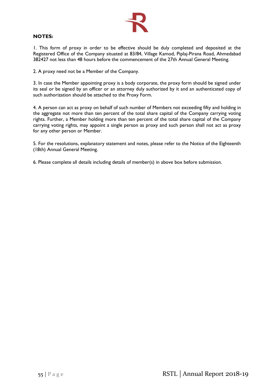![](_page_55_Picture_0.jpeg)

## **NOTES:**

1. This form of proxy in order to be effective should be duly completed and deposited at the Registered Office of the Company situated at 83/84, Village Kamod, Piplaj-Pirana Road, Ahmedabad 382427 not less than 48 hours before the commencement of the 27th Annual General Meeting.

2. A proxy need not be a Member of the Company.

3. In case the Member appointing proxy is a body corporate, the proxy form should be signed under its seal or be signed by an officer or an attorney duly authorized by it and an authenticated copy of such authorization should be attached to the Proxy Form.

4. A person can act as proxy on behalf of such number of Members not exceeding fifty and holding in the aggregate not more than ten percent of the total share capital of the Company carrying voting rights. Further, a Member holding more than ten percent of the total share capital of the Company carrying voting rights, may appoint a single person as proxy and such person shall not act as proxy for any other person or Member.

5. For the resolutions, explanatory statement and notes, please refer to the Notice of the Eighteenth (18th) Annual General Meeting.

6. Please complete all details including details of member(s) in above box before submission.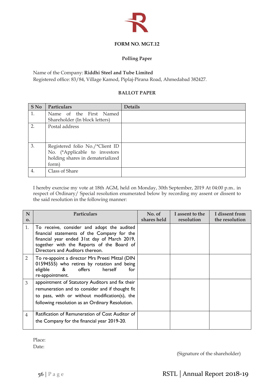![](_page_56_Picture_0.jpeg)

# **FORM NO. MGT.12**

# **Polling Paper**

Name of the Company: **Riddhi Steel and Tube Limited**

Registered office: 83/84, Village Kamod, Piplaj-Pirana Road, Ahmedabad 382427.

# **BALLOT PAPER**

| <b>S</b> No      | Particulars                                                                                                   | <b>Details</b> |
|------------------|---------------------------------------------------------------------------------------------------------------|----------------|
| 1.               | Name of the First Named<br>Shareholder (In block letters)                                                     |                |
| 2.               | Postal address                                                                                                |                |
| 3.               | Registered folio No./*Client ID<br>No. (*Applicable to investors<br>holding shares in dematerialized<br>form) |                |
| $\overline{4}$ . | Class of Share                                                                                                |                |

I hereby exercise my vote at 18th AGM, held on Monday, 30th September, 2019 At 04:00 p.m.. in respect of Ordinary/ Special resolution enumerated below by recording my assent or dissent to the said resolution in the following manner:

| N              | <b>Particulars</b>                                                                                                                                                                                                        | No. of      | I assent to the | I dissent from |
|----------------|---------------------------------------------------------------------------------------------------------------------------------------------------------------------------------------------------------------------------|-------------|-----------------|----------------|
| $\mathbf{O}$ . |                                                                                                                                                                                                                           | shares held | resolution      | the resolution |
| 1.             | To receive, consider and adopt the audited<br>financial statements of the Company for the<br>financial year ended 31st day of March 2019,<br>together with the Reports of the Board of<br>Directors and Auditors thereon. |             |                 |                |
| 2              | To re-appoint a director Mrs Preeti Mittal (DIN<br>01594555) who retires by rotation and being<br>$\mathcal{R}$<br>eligible<br>offers<br>herself<br>for<br>re-appointment.                                                |             |                 |                |
| 3              | appointment of Statutory Auditors and fix their<br>remuneration and to consider and if thought fit<br>to pass, with or without modification(s), the<br>following resolution as an Ordinary Resolution.                    |             |                 |                |
| 4              | Ratification of Remuneration of Cost Auditor of<br>the Company for the financial year 2019-20.                                                                                                                            |             |                 |                |

Place:

Date:

(Signature of the shareholder)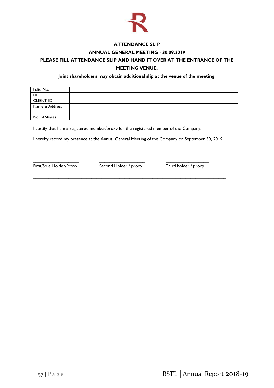![](_page_57_Picture_0.jpeg)

## **ATTENDANCE SLIP**

## **ANNUAL GENERAL MEETING - 30.09.2019**

# **PLEASE FILL ATTENDANCE SLIP AND HAND IT OVER AT THE ENTRANCE OF THE MEETING VENUE.**

### **Joint shareholders may obtain additional slip at the venue of the meeting.**

| Folio No.        |  |
|------------------|--|
| DP ID            |  |
| <b>CLIENT ID</b> |  |
| Name & Address   |  |
|                  |  |
| No. of Shares    |  |

I certify that I am a registered member/proxy for the registered member of the Company.

I hereby record my presence at the Annual General Meeting of the Company on September 30, 2019.

\_\_\_\_\_\_\_\_\_\_\_\_\_\_\_\_\_\_\_\_\_\_\_\_\_\_\_\_\_\_\_\_\_\_\_\_\_\_\_\_\_\_\_\_\_\_\_\_\_\_\_\_\_\_\_\_\_\_\_\_\_\_\_\_\_\_\_\_\_\_\_\_\_\_\_\_

First/Sole Holder/Proxy Second Holder / proxy Third holder / proxy

\_\_\_\_\_\_\_\_\_\_\_\_\_\_\_\_\_\_ \_\_\_\_\_\_\_\_\_\_\_\_\_\_\_\_\_\_ \_\_\_\_\_\_\_\_\_\_\_\_\_\_\_\_\_